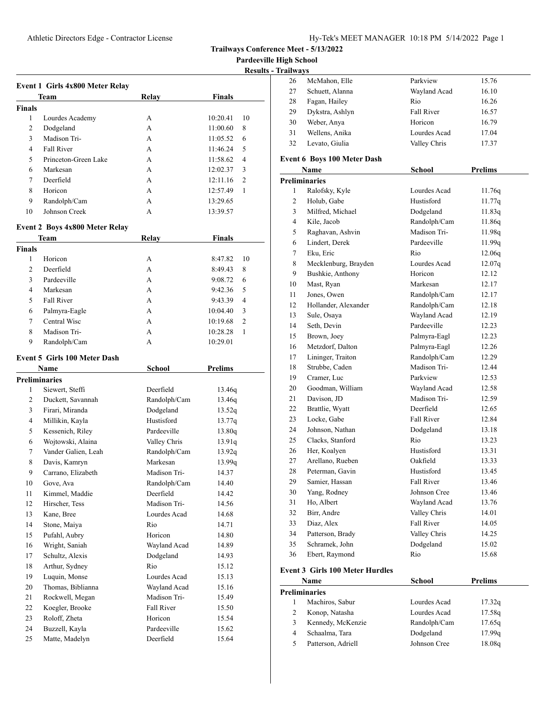**Pardeeville High School**

| <b>Results - Trailways</b> |  |
|----------------------------|--|
|                            |  |

|               |                                     |              |                | Results - |
|---------------|-------------------------------------|--------------|----------------|-----------|
|               | Event 1 Girls 4x800 Meter Relay     |              |                |           |
|               | Team                                | Relay        | <b>Finals</b>  |           |
| <b>Finals</b> |                                     |              |                |           |
| 1             | Lourdes Academy                     | А            | 10:20.41       | 10        |
| 2             | Dodgeland                           | A            | 11:00.60       | 8         |
| 3             | Madison Tri-                        | A            | 11:05.52       | 6         |
| 4             | Fall River                          | A            | 11:46.24       | 5         |
| 5             | Princeton-Green Lake                | A            | 11:58.62       | 4         |
| 6             | Markesan                            | A            | 12:02.37       | 3         |
| 7             | Deerfield                           | A            | 12:11.16       | 2         |
| 8             | Horicon                             | A            | 12:57.49       | 1         |
| 9             | Randolph/Cam                        | A            | 13:29.65       |           |
| 10            | Johnson Creek                       | A            | 13:39.57       |           |
|               |                                     |              |                |           |
|               | Event 2 Boys 4x800 Meter Relay      |              |                |           |
|               | <b>Team</b>                         | Relay        | <b>Finals</b>  |           |
| <b>Finals</b> |                                     |              |                |           |
| 1             | Horicon                             | А            | 8:47.82        | 10        |
| 2             | Deerfield                           | A            | 8:49.43        | 8         |
| 3             | Pardeeville                         | A            | 9:08.72        | 6         |
| 4             | Markesan                            | A            | 9:42.36        | 5         |
| 5             | Fall River                          | A            | 9:43.39        | 4         |
| 6             | Palmyra-Eagle                       | A            | 10:04.40       | 3         |
| 7             | Central Wisc                        | A            | 10:19.68       | 2         |
| 8             | Madison Tri-                        | A            | 10:28.28       | 1         |
| 9             | Randolph/Cam                        | A            | 10:29.01       |           |
|               | <b>Event 5 Girls 100 Meter Dash</b> |              |                |           |
|               | Name                                | School       | <b>Prelims</b> |           |
|               | <b>Preliminaries</b>                |              |                |           |
| 1             | Siewert, Steffi                     | Deerfield    | 13.46q         |           |
| 2             | Duckett, Savannah                   | Randolph/Cam | 13.46q         |           |
| 3             | Firari, Miranda                     | Dodgeland    | 13.52q         |           |
| 4             | Millikin, Kayla                     | Hustisford   | 13.77q         |           |
| 5             | Kessenich, Riley                    | Pardeeville  | 13.80q         |           |
| 6             | Wojtowski, Alaina                   | Valley Chris | 13.91q         |           |
| 7             | Vander Galien, Leah                 | Randolph/Cam | 13.92q         |           |
| 8             | Davis, Kamryn                       | Markesan     | 13.99q         |           |
| 9             | Carrano, Elizabeth                  | Madison Tri- | 14.37          |           |
| 10            | Gove, Ava                           | Randolph/Cam | 14.40          |           |
| 11            | Kimmel, Maddie                      | Deerfield    | 14.42          |           |
| 12            | Hirscher, Tess                      | Madison Tri- | 14.56          |           |
| 13            | Kane, Bree                          | Lourdes Acad |                |           |
|               |                                     |              | 14.68          |           |
| 14            | Stone, Maiya                        | Rio          | 14.71          |           |
| 15            | Pufahl, Aubry                       | Horicon      | 14.80          |           |
| 16            | Wright, Saniah                      | Wayland Acad | 14.89          |           |
| 17            | Schultz, Alexis                     | Dodgeland    | 14.93          |           |
| 18            | Arthur, Sydney                      | Rio          | 15.12          |           |
| 19            | Luquin, Monse                       | Lourdes Acad | 15.13          |           |
| 20            | Thomas, Biblianna                   | Wayland Acad | 15.16          |           |
| 21            | Rockwell, Megan                     | Madison Tri- | 15.49          |           |
| 22            | Koegler, Brooke                     | Fall River   | 15.50          |           |
| 23            | Roloff, Zheta                       | Horicon      | 15.54          |           |
| 24            | Buzzell, Kayla                      | Pardeeville  | 15.62          |           |
| 25            | Matte, Madelyn                      | Deerfield    | 15.64          |           |
|               |                                     |              |                |           |

| 26 | McMahon, Elle                              | Parkview          | 15.76          |
|----|--------------------------------------------|-------------------|----------------|
| 27 | Schuett, Alanna                            | Wayland Acad      | 16.10          |
| 28 | Fagan, Hailey                              | Rio               | 16.26          |
| 29 | Dykstra, Ashlyn                            | <b>Fall River</b> | 16.57          |
| 30 | Weber, Anya                                | Horicon           | 16.79          |
| 31 | Wellens, Anika                             | Lourdes Acad      | 17.04          |
| 32 | Levato, Giulia                             | Valley Chris      | 17.37          |
|    |                                            |                   |                |
|    | <b>Event 6 Boys 100 Meter Dash</b><br>Name | <b>School</b>     | <b>Prelims</b> |
|    | <b>Preliminaries</b>                       |                   |                |
| 1  | Ralofsky, Kyle                             | Lourdes Acad      | 11.76q         |
| 2  | Holub, Gabe                                | Hustisford        | 11.77q         |
| 3  | Milfred, Michael                           | Dodgeland         | 11.83q         |
| 4  | Kile, Jacob                                | Randolph/Cam      | 11.86q         |
| 5  | Raghavan, Ashvin                           | Madison Tri-      | 11.98q         |
| 6  | Lindert, Derek                             | Pardeeville       | 11.99q         |
| 7  | Eku, Eric                                  | Rio               | 12.06q         |
| 8  | Mecklenburg, Brayden                       | Lourdes Acad      | 12.07q         |
| 9  | Bushkie, Anthony                           | Horicon           | 12.12          |
| 10 | Mast, Ryan                                 | Markesan          | 12.17          |
| 11 | Jones, Owen                                | Randolph/Cam      | 12.17          |
| 12 | Hollander, Alexander                       | Randolph/Cam      | 12.18          |
| 13 | Sule, Osaya                                | Wayland Acad      | 12.19          |
| 14 | Seth, Devin                                | Pardeeville       | 12.23          |
| 15 | Brown, Joey                                | Palmyra-Eagl      | 12.23          |
| 16 | Metzdorf, Dalton                           | Palmyra-Eagl      | 12.26          |
| 17 | Lininger, Traiton                          | Randolph/Cam      | 12.29          |
| 18 | Strubbe, Caden                             | Madison Tri-      | 12.44          |
| 19 | Cramer, Luc                                | Parkview          | 12.53          |
| 20 | Goodman, William                           | Wayland Acad      | 12.58          |
| 21 | Davison, JD                                | Madison Tri-      | 12.59          |
| 22 | Brattlie, Wyatt                            | Deerfield         | 12.65          |
| 23 | Locke, Gabe                                | Fall River        | 12.84          |
| 24 | Johnson, Nathan                            | Dodgeland         | 13.18          |
| 25 | Clacks, Stanford                           | Rio               | 13.23          |
| 26 | Her, Koalyen                               | Hustisford        | 13.31          |
| 27 | Arellano, Rueben                           | Oakfield          | 13.33          |
| 28 | Peterman, Gavin                            | Hustisford        | 13.45          |
| 29 | Samier, Hassan                             | Fall River        | 13.46          |
| 30 | Yang, Rodney                               | Johnson Cree      | 13.46          |
| 31 | Ho, Albert                                 | Wayland Acad      | 13.76          |
| 32 | Birr, Andre                                | Valley Chris      | 14.01          |
| 33 | Diaz, Alex                                 | Fall River        | 14.05          |
| 34 | Patterson, Brady                           | Valley Chris      | 14.25          |
| 35 | Schramek, John                             | Dodgeland         | 15.02          |
| 36 | Ebert, Raymond                             | Rio               | 15.68          |
|    | $m+2$ Circle $100$ Meter Hundles           |                   |                |

#### **Event 3 Girls 100 Meter Hurdles**

| Name |                      | School       | <b>Prelims</b> |
|------|----------------------|--------------|----------------|
|      | <b>Preliminaries</b> |              |                |
|      | Machiros, Sabur      | Lourdes Acad | 17.32q         |
| 2    | Konop, Natasha       | Lourdes Acad | 17.58q         |
| 3    | Kennedy, McKenzie    | Randolph/Cam | 17.65q         |
| 4    | Schaalma, Tara       | Dodgeland    | 17.99q         |
| 5    | Patterson, Adriell   | Johnson Cree | 18.08g         |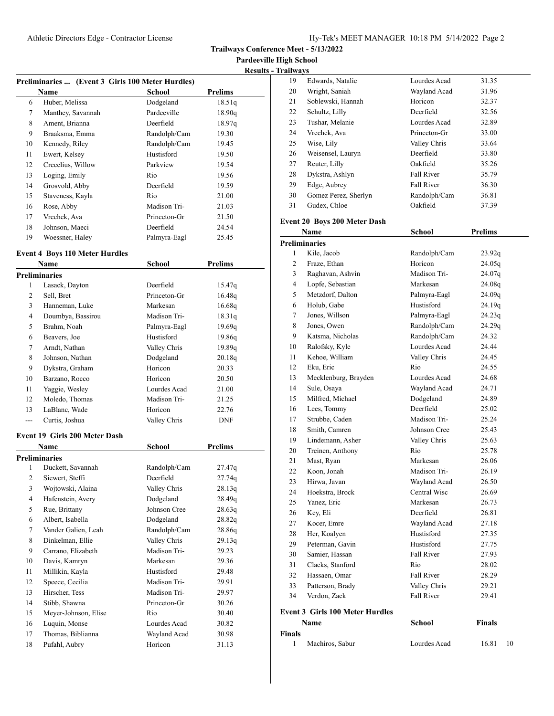**Trailways Conference Meet - 5/13/2022**

**Pardeeville High School**

| <b>Results - Trailways</b> |
|----------------------------|
|                            |

| Preliminaries  (Event 3 Girls 100 Meter Hurdles) |                   |              |                |  |
|--------------------------------------------------|-------------------|--------------|----------------|--|
|                                                  | <b>Name</b>       | School       | <b>Prelims</b> |  |
| 6                                                | Huber, Melissa    | Dodgeland    | 18.51q         |  |
| 7                                                | Manthey, Savannah | Pardeeville  | 18.90q         |  |
| 8                                                | Ament, Brianna    | Deerfield    | 18.97q         |  |
| 9                                                | Braaksma, Emma    | Randolph/Cam | 19.30          |  |
| 10                                               | Kennedy, Riley    | Randolph/Cam | 19.45          |  |
| 11                                               | Ewert, Kelsey     | Hustisford   | 19.50          |  |
| 12                                               | Crecelius, Willow | Parkview     | 19.54          |  |
| 13                                               | Loging, Emily     | Rio          | 19.56          |  |
| 14                                               | Grosvold, Abby    | Deerfield    | 19.59          |  |
| 15                                               | Staveness, Kayla  | Rio          | 21.00          |  |
| 16                                               | Rose, Abby        | Madison Tri- | 21.03          |  |
| 17                                               | Vrechek, Ava      | Princeton-Gr | 21.50          |  |
| 18                                               | Johnson, Maeci    | Deerfield    | 24.54          |  |
| 19                                               | Woessner, Haley   | Palmyra-Eagl | 25.45          |  |

## **Event 4 Boys 110 Meter Hurdles**

| Name           |                               | <b>School</b> | <b>Prelims</b> |
|----------------|-------------------------------|---------------|----------------|
|                | <b>Preliminaries</b>          |               |                |
| 1              | Lasack, Dayton                | Deerfield     | 15.47q         |
| $\overline{c}$ | Sell, Bret                    | Princeton-Gr  | 16.48q         |
| 3              | Hanneman, Luke                | Markesan      | 16.68q         |
| 4              | Doumbya, Bassirou             | Madison Tri-  | 18.31q         |
| 5              | Brahm, Noah                   | Palmyra-Eagl  | 19.69q         |
| 6              | Beavers, Joe                  | Hustisford    | 19.86q         |
| 7              | Arndt, Nathan                 | Valley Chris  | 19.89q         |
| 8              | Johnson, Nathan               | Dodgeland     | 20.18q         |
| 9              | Dykstra, Graham               | Horicon       | 20.33          |
| 10             | Barzano, Rocco                | Horicon       | 20.50          |
| 11             | Yaggie, Wesley                | Lourdes Acad  | 21.00          |
| 12             | Moledo, Thomas                | Madison Tri-  | 21.25          |
| 13             | LaBlanc, Wade                 | Horicon       | 22.76          |
| ---            | Curtis, Joshua                | Valley Chris  | <b>DNF</b>     |
|                | Event 19 Girls 200 Meter Dash |               |                |
|                | Name                          | <b>School</b> | <b>Prelims</b> |
|                | <b>Preliminaries</b>          |               |                |
| 1              | Duckett, Savannah             | Randolph/Cam  | 27.47q         |
| $\overline{c}$ | Siewert, Steffi               | Deerfield     | 27.74q         |
| 3              | Wojtowski, Alaina             | Valley Chris  | 28.13q         |
| 4              | Hafenstein, Avery             | Dodgeland     | 28.49q         |
| 5              | Rue, Brittany                 | Johnson Cree  | 28.63q         |
| 6              | Albert, Isabella              | Dodgeland     | 28.82q         |
| 7              | Vander Galien, Leah           | Randolph/Cam  | 28.86q         |
| 8              | Dinkelman, Ellie              | Valley Chris  | 29.13q         |
| 9              | Carrano, Elizabeth            | Madison Tri-  | 29.23          |
| 10             | Davis, Kamryn                 | Markesan      | 29.36          |
| 11             | Millikin, Kayla               | Hustisford    | 29.48          |
| 12             | Speece, Cecilia               | Madison Tri-  | 29.91          |
| 13             | Hirscher, Tess                | Madison Tri-  | 29.97          |
| 14             | Stibb, Shawna                 | Princeton-Gr  | 30.26          |
| 15             | Meyer-Johnson, Elise          | Rio           | 30.40          |
| 16             | Luquin, Monse                 | Lourdes Acad  | 30.82          |
| 17             | Thomas, Biblianna             | Wayland Acad  | 30.98          |
| 18             | Pufahl, Aubry                 | Horicon       | 31.13          |

| 19                                     | Edwards, Natalie                    | Lourdes Acad            | 31.35              |  |  |
|----------------------------------------|-------------------------------------|-------------------------|--------------------|--|--|
| 20                                     | Wright, Saniah                      | Wayland Acad            | 31.96              |  |  |
| 21                                     | Soblewski, Hannah                   | Horicon                 | 32.37              |  |  |
| 22                                     | Schultz, Lilly                      | Deerfield               | 32.56              |  |  |
| 23                                     | Tushar, Melanie                     | Lourdes Acad            | 32.89              |  |  |
| 24                                     | Vrechek, Ava                        | Princeton-Gr            | 33.00              |  |  |
| 25                                     | Wise, Lily                          | Valley Chris            | 33.64              |  |  |
| 26                                     | Weisensel, Lauryn                   | Deerfield               | 33.80              |  |  |
| 27                                     | Reuter, Lilly                       | Oakfield                | 35.26              |  |  |
| 28                                     | Dykstra, Ashlyn                     | <b>Fall River</b>       | 35.79              |  |  |
| 29                                     | Edge, Aubrey                        | <b>Fall River</b>       | 36.30              |  |  |
| 30                                     | Gomez Perez, Sherlyn                | Randolph/Cam            | 36.81              |  |  |
| 31                                     | Gudex, Chloe                        | Oakfield                | 37.39              |  |  |
|                                        |                                     |                         |                    |  |  |
|                                        | <b>Event 20 Boys 200 Meter Dash</b> |                         |                    |  |  |
|                                        | Name                                | <b>School</b>           | <b>Prelims</b>     |  |  |
|                                        | Preliminaries                       |                         |                    |  |  |
| 1                                      | Kile, Jacob                         | Randolph/Cam<br>Horicon | 23.92q             |  |  |
| 2                                      | Fraze, Ethan                        |                         | 24.05q             |  |  |
| 3                                      | Raghavan, Ashvin                    | Madison Tri-            | 24.07 <sub>q</sub> |  |  |
| 4                                      | Lopfe, Sebastian                    | Markesan                | 24.08q             |  |  |
| 5                                      | Metzdorf, Dalton                    | Palmyra-Eagl            | 24.09q             |  |  |
| 6                                      | Holub, Gabe                         | Hustisford              | 24.19q             |  |  |
| 7                                      | Jones, Willson                      | Palmyra-Eagl            | 24.23q             |  |  |
| 8                                      | Jones, Owen                         | Randolph/Cam            | 24.29q             |  |  |
| 9                                      | Katsma, Nicholas                    | Randolph/Cam            | 24.32              |  |  |
| 10                                     | Ralofsky, Kyle                      | Lourdes Acad            | 24.44              |  |  |
| 11                                     | Kehoe, William                      | Valley Chris            | 24.45              |  |  |
| 12                                     | Eku, Eric                           | Rio                     | 24.55              |  |  |
| 13                                     | Mecklenburg, Brayden                | Lourdes Acad            | 24.68              |  |  |
| 14                                     | Sule, Osaya                         | Wayland Acad            | 24.71              |  |  |
| 15                                     | Milfred, Michael                    | Dodgeland               | 24.89              |  |  |
| 16                                     | Lees, Tommy                         | Deerfield               | 25.02              |  |  |
| 17                                     | Strubbe, Caden                      | Madison Tri-            | 25.24              |  |  |
| 18                                     | Smith, Camren                       | Johnson Cree            | 25.43              |  |  |
| 19                                     | Lindemann, Asher                    | Valley Chris            | 25.63              |  |  |
| 20                                     | Treinen, Anthony                    | Rio                     | 25.78              |  |  |
| 21                                     | Mast, Ryan                          | Markesan                | 26.06              |  |  |
| 22                                     | Koon, Jonah                         | Madison Tri-            | 26.19              |  |  |
| 23                                     | Hirwa, Javan                        | Wayland Acad            | 26.50              |  |  |
| 24                                     | Hoekstra, Brock                     | Central Wisc            | 26.69              |  |  |
| 25                                     | Yanez, Eric                         | Markesan                | 26.73              |  |  |
| 26                                     | Key, Eli                            | Deerfield               | 26.81              |  |  |
| 27                                     | Kocer, Emre                         | Wayland Acad            | 27.18              |  |  |
| 28                                     | Her, Koalyen                        | Hustisford              | 27.35              |  |  |
| 29                                     | Peterman, Gavin                     | Hustisford              | 27.75              |  |  |
| 30                                     | Samier, Hassan                      | Fall River              | 27.93              |  |  |
| 31                                     | Clacks, Stanford                    | Rio                     | 28.02              |  |  |
| 32                                     | Hassaen, Omar                       | Fall River              | 28.29              |  |  |
| 33                                     | Patterson, Brady                    | Valley Chris            | 29.21              |  |  |
| 34                                     | Verdon, Zack                        | Fall River              | 29.41              |  |  |
| <b>Event 3 Girls 100 Meter Hurdles</b> |                                     |                         |                    |  |  |
|                                        | Name                                | <b>School</b>           | <b>Finals</b>      |  |  |
| Finals                                 |                                     |                         |                    |  |  |

| . |                 |              |       |  |
|---|-----------------|--------------|-------|--|
|   | Machiros, Sabur | Lourdes Acad | 16.81 |  |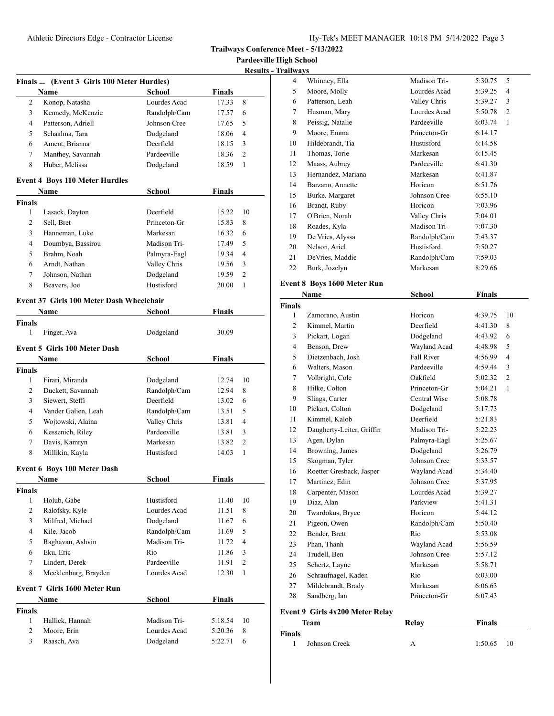**Trailways Conference Meet - 5/13/2022**

**Pardeeville High School**

**Results - Trailways**

|                | Name                                          | School        | <b>Finals</b> |    |
|----------------|-----------------------------------------------|---------------|---------------|----|
| 2              | Konop, Natasha                                | Lourdes Acad  | 17.33         | 8  |
| 3              | Kennedy, McKenzie                             | Randolph/Cam  | 17.57         | 6  |
| 4              | Patterson, Adriell                            | Johnson Cree  | 17.65         | 5  |
| 5              | Schaalma, Tara                                | Dodgeland     | 18.06         | 4  |
| 6              | Ament, Brianna                                | Deerfield     | 18.15         | 3  |
| 7              | Manthey, Savannah                             | Pardeeville   | 18.36         | 2  |
| 8              | Huber, Melissa                                | Dodgeland     | 18.59         | 1  |
|                |                                               |               |               |    |
|                | <b>Event 4 Boys 110 Meter Hurdles</b><br>Name | School        | <b>Finals</b> |    |
| <b>Finals</b>  |                                               |               |               |    |
| 1              | Lasack, Dayton                                | Deerfield     | 15.22         | 10 |
| $\overline{2}$ | Sell, Bret                                    | Princeton-Gr  | 15.83         | 8  |
| 3              | Hanneman, Luke                                | Markesan      | 16.32         | 6  |
| 4              | Doumbya, Bassirou                             | Madison Tri-  | 17.49         | 5  |
| 5              | Brahm, Noah                                   | Palmyra-Eagl  | 19.34         | 4  |
| 6              | Arndt, Nathan                                 | Valley Chris  | 19.56         | 3  |
| 7              | Johnson, Nathan                               | Dodgeland     | 19.59         | 2  |
| 8              | Beavers, Joe                                  | Hustisford    | 20.00         | 1  |
|                |                                               |               |               |    |
|                | Event 37 Girls 100 Meter Dash Wheelchair      |               |               |    |
|                | Name                                          | School        | <b>Finals</b> |    |
| <b>Finals</b>  |                                               |               |               |    |
| 1              | Finger, Ava                                   | Dodgeland     | 30.09         |    |
|                | <b>Event 5 Girls 100 Meter Dash</b>           |               |               |    |
|                | Name                                          | School        | Finals        |    |
| <b>Finals</b>  |                                               |               |               |    |
| 1              | Firari, Miranda                               | Dodgeland     | 12.74         | 10 |
| 2              | Duckett, Savannah                             | Randolph/Cam  | 12.94         | 8  |
| 3              | Siewert, Steffi                               | Deerfield     | 13.02         | 6  |
| 4              | Vander Galien, Leah                           | Randolph/Cam  | 13.51         | 5  |
| 5              | Wojtowski, Alaina                             | Valley Chris  | 13.81         | 4  |
| 6              | Kessenich, Riley                              | Pardeeville   | 13.81         | 3  |
| 7              | Davis, Kamryn                                 | Markesan      | 13.82         | 2  |
| 8              | Millikin, Kayla                               | Hustisford    | 14.03         | 1  |
|                |                                               |               |               |    |
|                | <b>Event 6 Boys 100 Meter Dash</b>            |               |               |    |
|                | <b>Name</b>                                   | School        | <b>Finals</b> |    |
| <b>Finals</b>  |                                               |               |               |    |
| 1              | Holub, Gabe                                   | Hustisford    | 11.40         | 10 |
| $\overline{2}$ | Ralofsky, Kyle                                | Lourdes Acad  | 11.51         | 8  |
| 3              | Milfred, Michael                              | Dodgeland     | 11.67         | 6  |
| 4              | Kile, Jacob                                   | Randolph/Cam  | 11.69         | 5  |
| 5              | Raghavan, Ashvin                              | Madison Tri-  | 11.72         | 4  |
| 6              | Eku, Eric                                     | Rio           | 11.86         | 3  |
| 7              | Lindert, Derek                                | Pardeeville   | 11.91         | 2  |
| 8              | Mecklenburg, Brayden                          | Lourdes Acad  | 12.30         | 1  |
|                | Event 7 Girls 1600 Meter Run                  |               |               |    |
|                | Name                                          | <b>School</b> | Finals        |    |
| <b>Finals</b>  |                                               |               |               |    |
| $\mathbf{1}$   | Hallick, Hannah                               | Madison Tri-  | 5:18.54       | 10 |
| $\overline{2}$ | Moore, Erin                                   | Lourdes Acad  | 5:20.36       | 8  |
| 3              | Raasch, Ava                                   | Dodgeland     | 5:22.71       | 6  |
|                |                                               |               |               |    |

| Finale                                 | <b>Team</b>                 | <b>Relay</b>  | <b>Finals</b> |    |
|----------------------------------------|-----------------------------|---------------|---------------|----|
| <b>Event 9 Girls 4x200 Meter Relay</b> |                             |               |               |    |
|                                        |                             |               |               |    |
| 28                                     | Sandberg, Ian               | Princeton-Gr  | 6:07.43       |    |
| 27                                     | Mildebrandt, Brady          | Markesan      | 6:06.63       |    |
| 26                                     | Schraufnagel, Kaden         | Rio           | 6:03.00       |    |
| 25                                     | Schertz, Layne              | Markesan      | 5:58.71       |    |
| 24                                     | Trudell, Ben                | Johnson Cree  | 5:57.12       |    |
| 23                                     | Phan, Thanh                 | Wayland Acad  | 5:56.59       |    |
| 22                                     | Bender, Brett               | Rio           | 5:53.08       |    |
| 21                                     | Pigeon, Owen                | Randolph/Cam  | 5:50.40       |    |
| 20                                     | Twardokus, Bryce            | Horicon       | 5:44.12       |    |
| 19                                     | Diaz, Alan                  | Parkview      | 5:41.31       |    |
| 18                                     | Carpenter, Mason            | Lourdes Acad  | 5:39.27       |    |
| 17                                     | Martinez, Edin              | Johnson Cree  | 5:37.95       |    |
| 16                                     | Roetter Gresback, Jasper    | Wayland Acad  | 5:34.40       |    |
| 15                                     | Skogman, Tyler              | Johnson Cree  | 5:33.57       |    |
| 14                                     | Browning, James             | Dodgeland     | 5:26.79       |    |
| 13                                     | Agen, Dylan                 | Palmyra-Eagl  | 5:25.67       |    |
| 12                                     | Daugherty-Leiter, Griffin   | Madison Tri-  | 5:22.23       |    |
| 11                                     | Kimmel, Kalob               | Deerfield     | 5:21.83       |    |
| 10                                     | Pickart, Colton             | Dodgeland     | 5:17.73       |    |
| 9                                      | Slings, Carter              | Central Wisc  | 5:08.78       |    |
| 8                                      | Hilke, Colton               | Princeton-Gr  | 5:04.21       | 1  |
| 7                                      | Volbright, Cole             | Oakfield      | 5:02.32       | 2  |
| 6                                      | Walters, Mason              | Pardeeville   | 4:59.44       | 3  |
| 5                                      | Dietzenbach, Josh           | Fall River    | 4:56.99       | 4  |
| 4                                      | Benson, Drew                | Wayland Acad  | 4:48.98       | 5  |
| 3                                      | Pickart, Logan              | Dodgeland     | 4:43.92       | 6  |
| 2                                      | Kimmel, Martin              | Deerfield     | 4:41.30       | 8  |
| 1                                      | Zamorano, Austin            | Horicon       | 4:39.75       | 10 |
| <b>Finals</b>                          |                             |               |               |    |
|                                        | Name                        | <b>School</b> | <b>Finals</b> |    |
|                                        | Event 8 Boys 1600 Meter Run |               |               |    |
|                                        |                             |               |               |    |
| 22                                     | Burk, Jozelyn               | Markesan      | 8:29.66       |    |
| 21                                     | DeVries, Maddie             | Randolph/Cam  | 7:59.03       |    |
| 20                                     | Nelson, Ariel               | Hustisford    | 7:50.27       |    |
| 19                                     | De Vries, Alyssa            | Randolph/Cam  | 7:43.37       |    |
| 18                                     | Roades, Kyla                | Madison Tri-  | 7:07.30       |    |
| 17                                     | O'Brien, Norah              | Valley Chris  | 7:04.01       |    |
| 16                                     | Brandt, Ruby                | Horicon       | 7:03.96       |    |
| 15                                     | Burke, Margaret             | Johnson Cree  | 6:55.10       |    |
| 14                                     | Barzano, Annette            | Horicon       | 6:51.76       |    |
| 13                                     | Hernandez, Mariana          | Markesan      | 6:41.87       |    |
| 12                                     | Maass, Aubrey               | Pardeeville   | 6:41.30       |    |
| 11                                     | Thomas, Torie               | Markesan      | 6:15.45       |    |
| 10                                     | Hildebrandt, Tia            | Hustisford    | 6:14.58       |    |
| 9                                      | Moore, Emma                 | Princeton-Gr  | 6:14.17       |    |
| 8                                      | Peissig, Natalie            | Pardeeville   | 6:03.74       | 1  |
| 7                                      | Husman, Mary                | Lourdes Acad  | 5:50.78       | 2  |
| 6                                      | Patterson, Leah             | Valley Chris  | 5:39.27       | 3  |
| 5                                      | Moore, Molly                | Lourdes Acad  | 5:39.25       | 4  |
| 4                                      | Whinney, Ella               | Madison Tri-  | 5:30.75       | 5  |
| <u>гганwауs</u>                        |                             |               |               |    |

| Team          |               | Relav | Finals        |
|---------------|---------------|-------|---------------|
| <b>Finals</b> |               |       |               |
|               | Johnson Creek |       | 1:50.65<br>10 |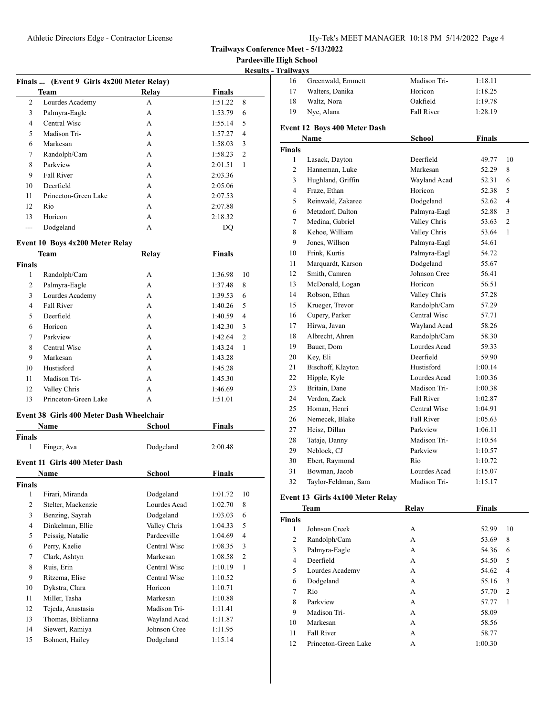**Pardeeville High School**

|    |                                           |       |               | <b>Results</b> |
|----|-------------------------------------------|-------|---------------|----------------|
|    | Finals  (Event 9 Girls 4x200 Meter Relay) |       |               |                |
|    | Team                                      | Relay | <b>Finals</b> |                |
| 2  | Lourdes Academy                           | A     | 1:51.22       | 8              |
| 3  | Palmyra-Eagle                             | A     | 1:53.79       | 6              |
| 4  | Central Wisc                              | A     | 1:55.14       | 5              |
| 5  | Madison Tri-                              | A     | 1:57.27       | 4              |
| 6  | Markesan                                  | A     | 1:58.03       | 3              |
| 7  | Randolph/Cam                              | A     | 1:58.23       | $\overline{2}$ |
| 8  | Parkview                                  | A     | 2:01.51       | 1              |
| 9  | Fall River                                | A     | 2:03.36       |                |
| 10 | Deerfield                                 | A     | 2:05.06       |                |
| 11 | Princeton-Green Lake                      | A     | 2:07.53       |                |
| 12 | Rio                                       | A     | 2:07.88       |                |
| 13 | Horicon                                   | A     | 2:18.32       |                |
|    | Dodgeland                                 | А     | DQ            |                |

### **Event 10 Boys 4x200 Meter Relay**

|        | Team                 | <b>Relay</b> | <b>Finals</b> |                |
|--------|----------------------|--------------|---------------|----------------|
| Finals |                      |              |               |                |
| 1      | Randolph/Cam         | A            | 1:36.98       | 10             |
| 2      | Palmyra-Eagle        | А            | 1:37.48       | 8              |
| 3      | Lourdes Academy      | А            | 1:39.53       | 6              |
| 4      | <b>Fall River</b>    | А            | 1:40.26       | 5              |
| 5      | Deerfield            | А            | 1:40.59       | 4              |
| 6      | Horicon              | А            | 1:42.30       | 3              |
| 7      | Parkview             | А            | 1:42.64       | $\overline{2}$ |
| 8      | Central Wisc         | А            | 1:43.24       | 1              |
| 9      | Markesan             | A            | 1:43.28       |                |
| 10     | Hustisford           | А            | 1:45.28       |                |
| 11     | Madison Tri-         | A            | 1:45.30       |                |
| 12     | Valley Chris         | А            | 1:46.69       |                |
| 13     | Princeton-Green Lake | А            | 1:51.01       |                |

#### **Event 38 Girls 400 Meter Dash Wheelchair**

| Name                                 | School       | Finals        |                |
|--------------------------------------|--------------|---------------|----------------|
| <b>Finals</b>                        |              |               |                |
|                                      |              |               |                |
| <b>Event 11 Girls 400 Meter Dash</b> |              |               |                |
| Name                                 | School       | <b>Finals</b> |                |
| <b>Finals</b>                        |              |               |                |
| Firari, Miranda                      | Dodgeland    | 1:01.72       | 10             |
| Stelter, Mackenzie                   | Lourdes Acad | 1:02.70       | 8              |
| Benzing, Sayrah                      | Dodgeland    | 1:03.03       | 6              |
| Dinkelman, Ellie                     | Valley Chris | 1:04.33       | 5              |
| Peissig, Natalie                     | Pardeeville  | 1:04.69       | 4              |
| Perry, Kaelie                        | Central Wisc | 1:08.35       | 3              |
| Clark, Ashtyn                        | Markesan     | 1:08.58       | $\overline{2}$ |
| Ruis, Erin                           | Central Wisc | 1:10.19       | 1              |
| Ritzema, Elise                       | Central Wisc | 1:10.52       |                |
| Dykstra, Clara                       | Horicon      | 1:10.71       |                |
| Miller, Tasha                        | Markesan     | 1:10.88       |                |
| Tejeda, Anastasia                    | Madison Tri- | 1:11.41       |                |
| Thomas, Biblianna                    | Wayland Acad | 1:11.87       |                |
| Siewert, Ramiya                      | Johnson Cree | 1:11.95       |                |
| Bohnert, Hailey                      | Dodgeland    | 1:15.14       |                |
|                                      | Finger, Ava  | Dodgeland     | 2:00.48        |

| - Trailways   |                |                              |               |         |                |
|---------------|----------------|------------------------------|---------------|---------|----------------|
|               | 16             | Greenwald, Emmett            | Madison Tri-  | 1:18.11 |                |
|               | 17             | Walters, Danika              | Horicon       | 1:18.25 |                |
|               | 18             | Waltz, Nora                  | Oakfield      | 1:19.78 |                |
|               | 19             | Nye, Alana                   | Fall River    | 1:28.19 |                |
|               |                | Event 12 Boys 400 Meter Dash |               |         |                |
|               |                | Name                         | <b>School</b> | Finals  |                |
| <b>Finals</b> |                |                              |               |         |                |
|               | $\mathbf{1}$   | Lasack, Dayton               | Deerfield     | 49.77   | 10             |
|               | $\overline{2}$ | Hanneman, Luke               | Markesan      | 52.29   | 8              |
|               | 3              | Hughland, Griffin            | Wayland Acad  | 52.31   | 6              |
|               | 4              | Fraze, Ethan                 | Horicon       | 52.38   | 5              |
|               | 5              | Reinwald, Zakaree            | Dodgeland     | 52.62   | $\overline{4}$ |
|               | 6              | Metzdorf, Dalton             | Palmyra-Eagl  | 52.88   | 3              |
|               | 7              | Medina, Gabriel              | Valley Chris  | 53.63   | $\overline{c}$ |
|               | 8              | Kehoe, William               | Valley Chris  | 53.64   | $\mathbf{1}$   |
|               | 9              | Jones, Willson               | Palmyra-Eagl  | 54.61   |                |
|               | 10             | Frink, Kurtis                | Palmyra-Eagl  | 54.72   |                |
|               | 11             | Marquardt, Karson            | Dodgeland     | 55.67   |                |
|               | 12             | Smith, Camren                | Johnson Cree  | 56.41   |                |
|               | 13             | McDonald, Logan              | Horicon       | 56.51   |                |
|               | 14             | Robson, Ethan                | Valley Chris  | 57.28   |                |
|               | 15             | Krueger, Trevor              | Randolph/Cam  | 57.29   |                |
|               | 16             | Cupery, Parker               | Central Wisc  | 57.71   |                |
|               | 17             | Hirwa, Javan                 | Wayland Acad  | 58.26   |                |
|               | 18             | Albrecht, Ahren              | Randolph/Cam  | 58.30   |                |
|               | 19             | Bauer, Dom                   | Lourdes Acad  | 59.33   |                |
|               | 20             | Key, Eli                     | Deerfield     | 59.90   |                |
|               | 21             | Bischoff, Klayton            | Hustisford    | 1:00.14 |                |
|               | 22             | Hipple, Kyle                 | Lourdes Acad  | 1:00.36 |                |
|               | 23             | Britain, Dane                | Madison Tri-  | 1:00.38 |                |
|               | 24             | Verdon, Zack                 | Fall River    | 1:02.87 |                |
|               | 25             | Homan, Henri                 | Central Wisc  | 1:04.91 |                |
|               | 26             | Nemecek, Blake               | Fall River    | 1:05.63 |                |
|               | 27             | Heisz, Dillan                | Parkview      | 1:06.11 |                |
|               | 28             | Tataje, Danny                | Madison Tri-  | 1:10.54 |                |
|               | 29             | Neblock, CJ                  | Parkview      | 1:10.57 |                |
|               | 30             | Ebert, Raymond               | Rio           | 1:10.72 |                |
|               | 31             | Bowman, Jacob                | Lourdes Acad  | 1:15.07 |                |
|               | 32             | Taylor-Feldman, Sam          | Madison Tri-  | 1:15.17 |                |
|               |                |                              |               |         |                |

## **Event 13 Girls 4x100 Meter Relay**

|               | Team                 | Relay | <b>Finals</b> |                |
|---------------|----------------------|-------|---------------|----------------|
| <b>Finals</b> |                      |       |               |                |
| 1             | Johnson Creek        | А     | 52.99         | 10             |
| 2             | Randolph/Cam         | А     | 53.69         | 8              |
| 3             | Palmyra-Eagle        | А     | 54.36         | 6              |
| 4             | Deerfield            | А     | 54.50         | 5              |
| 5             | Lourdes Academy      | А     | 54.62         | 4              |
| 6             | Dodgeland            | А     | 55.16         | 3              |
| 7             | Rio                  | А     | 57.70         | $\overline{2}$ |
| 8             | Parkview             | А     | 57.77         | 1              |
| 9             | Madison Tri-         | A     | 58.09         |                |
| 10            | Markesan             | А     | 58.56         |                |
| 11            | <b>Fall River</b>    | А     | 58.77         |                |
| 12            | Princeton-Green Lake | A     | 1:00.30       |                |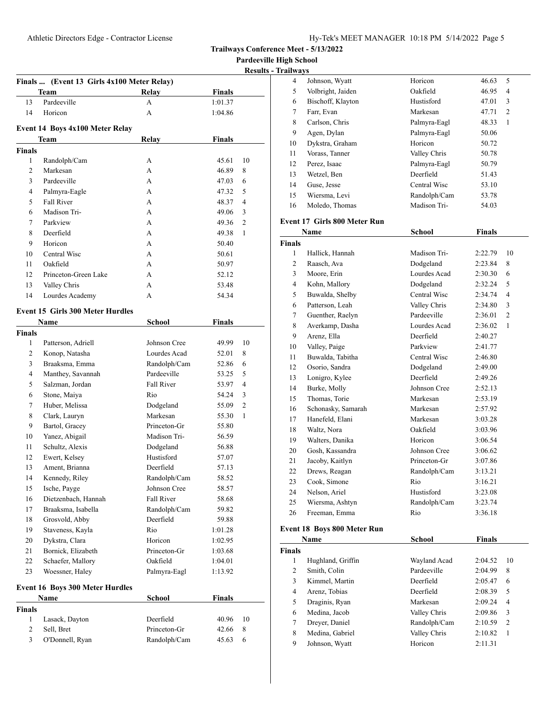**Pardeeville High School**

| <b>Results - Trailways</b> |
|----------------------------|
|                            |

|               | Finals  (Event 13 Girls 4x100 Meter Relay) |              |               |              |
|---------------|--------------------------------------------|--------------|---------------|--------------|
|               | Team                                       | Relay        | <b>Finals</b> |              |
| 13            | Pardeeville                                | А            | 1:01.37       |              |
| 14            | Horicon                                    | A            | 1:04.86       |              |
|               |                                            |              |               |              |
|               | Event 14 Boys 4x100 Meter Relay            |              |               |              |
|               | Team                                       | Relay        | <b>Finals</b> |              |
| <b>Finals</b> |                                            |              |               |              |
| $\mathbf{1}$  | Randolph/Cam                               | А            | 45.61         | 10           |
| 2             | Markesan                                   | A            | 46.89         | 8            |
| 3             | Pardeeville                                | A            | 47.03         | 6            |
| 4             | Palmyra-Eagle                              | A            | 47.32         | 5            |
| 5             | <b>Fall River</b>                          | А            | 48.37         | 4            |
| 6             | Madison Tri-                               | A            | 49.06         | 3            |
| 7             | Parkview                                   | A            | 49.36         | 2            |
| 8             | Deerfield                                  | A            | 49.38         | 1            |
| 9             | Horicon                                    | A            | 50.40         |              |
| 10            | Central Wisc                               | A            | 50.61         |              |
| 11            | Oakfield                                   | A            | 50.97         |              |
| 12            | Princeton-Green Lake                       | A            | 52.12         |              |
| 13            | Valley Chris                               | A            | 53.48         |              |
| 14            | Lourdes Academy                            | А            | 54.34         |              |
|               |                                            |              |               |              |
|               | <b>Event 15 Girls 300 Meter Hurdles</b>    |              |               |              |
|               | Name                                       | School       | <b>Finals</b> |              |
| <b>Finals</b> |                                            |              |               |              |
| $\mathbf{1}$  | Patterson, Adriell                         | Johnson Cree | 49.99         | 10           |
| 2             | Konop, Natasha                             | Lourdes Acad | 52.01         | 8            |
| 3             | Braaksma, Emma                             | Randolph/Cam | 52.86         | 6            |
| 4             | Manthey, Savannah                          | Pardeeville  | 53.25         | 5            |
| 5             | Salzman, Jordan                            | Fall River   | 53.97         | 4            |
| 6             | Stone, Maiya                               | Rio          | 54.24         | 3            |
| 7             | Huber, Melissa                             | Dodgeland    | 55.09         | 2            |
| 8             | Clark, Lauryn                              | Markesan     | 55.30         | $\mathbf{1}$ |
| 9             | Bartol, Gracey                             | Princeton-Gr | 55.80         |              |
| 10            | Yanez, Abigail                             | Madison Tri- | 56.59         |              |
| 11            | Schultz, Alexis                            | Dodgeland    | 56.88         |              |
| 12            | Ewert, Kelsey                              | Hustisford   | 57.07         |              |
| 13            | Ament, Brianna                             | Deerfield    | 57.13         |              |
| 14            | Kennedy, Riley                             | Randolph/Cam | 58.52         |              |
| 15            | Ische, Payge                               | Johnson Cree | 58.57         |              |
| 16            | Dietzenbach, Hannah                        | Fall River   | 58.68         |              |
| 17            | Braaksma, Isabella                         | Randolph/Cam | 59.82         |              |
| 18            | Grosvold, Abby                             | Deerfield    | 59.88         |              |
| 19            | Staveness, Kayla                           | Rio          | 1:01.28       |              |
| 20            | Dykstra, Clara                             | Horicon      | 1:02.95       |              |
| 21            | Bornick, Elizabeth                         | Princeton-Gr | 1:03.68       |              |
| 22            | Schaefer, Mallory                          | Oakfield     | 1:04.01       |              |
| 23            | Woessner, Haley                            | Palmyra-Eagl | 1:13.92       |              |
|               |                                            |              |               |              |
|               | <b>Event 16 Boys 300 Meter Hurdles</b>     |              |               |              |
|               | Name                                       | School       | <b>Finals</b> |              |
| <b>Finals</b> |                                            |              |               |              |
| 1             | Lasack, Dayton                             | Deerfield    | 40.96         | 10           |
| 2             | Sell, Bret                                 | Princeton-Gr | 42.66         | 8            |
| 3             | O'Donnell, Ryan                            | Randolph/Cam | 45.63         | 6            |
|               |                                            |              |               |              |

| ailwavs |                   |              |       |                |
|---------|-------------------|--------------|-------|----------------|
| 4       | Johnson, Wyatt    | Horicon      | 46.63 | 5              |
| 5       | Volbright, Jaiden | Oakfield     | 46.95 | 4              |
| 6       | Bischoff, Klayton | Hustisford   | 47.01 | 3              |
| 7       | Farr, Evan        | Markesan     | 47.71 | $\overline{c}$ |
| 8       | Carlson, Chris    | Palmyra-Eagl | 48.33 | 1              |
| 9       | Agen, Dylan       | Palmyra-Eagl | 50.06 |                |
| 10      | Dykstra, Graham   | Horicon      | 50.72 |                |
| 11      | Vorass, Tanner    | Valley Chris | 50.78 |                |
| 12      | Perez, Isaac      | Palmyra-Eagl | 50.79 |                |
| 13      | Wetzel, Ben       | Deerfield    | 51.43 |                |
| 14      | Guse, Jesse       | Central Wisc | 53.10 |                |
| 15      | Wiersma, Levi     | Randolph/Cam | 53.78 |                |
| 16      | Moledo, Thomas    | Madison Tri- | 54.03 |                |
|         |                   |              |       |                |

### **Event 17 Girls 800 Meter Run**

|                | Name               | <b>School</b> | <b>Finals</b> |                |
|----------------|--------------------|---------------|---------------|----------------|
| <b>Finals</b>  |                    |               |               |                |
| 1              | Hallick, Hannah    | Madison Tri-  | 2:22.79       | 10             |
| $\overline{c}$ | Raasch, Ava        | Dodgeland     | 2:23.84       | 8              |
| 3              | Moore, Erin        | Lourdes Acad  | 2:30.30       | 6              |
| 4              | Kohn, Mallory      | Dodgeland     | 2:32.24       | 5              |
| 5              | Buwalda, Shelby    | Central Wisc  | 2:34.74       | 4              |
| 6              | Patterson, Leah    | Valley Chris  | 2:34.80       | 3              |
| 7              | Guenther, Raelyn   | Pardeeville   | 2:36.01       | $\overline{2}$ |
| 8              | Averkamp, Dasha    | Lourdes Acad  | 2:36.02       | $\mathbf{1}$   |
| 9              | Arenz, Ella        | Deerfield     | 2:40.27       |                |
| 10             | Valley, Paige      | Parkview      | 2:41.77       |                |
| 11             | Buwalda, Tabitha   | Central Wisc  | 2:46.80       |                |
| 12             | Osorio, Sandra     | Dodgeland     | 2:49.00       |                |
| 13             | Lonigro, Kylee     | Deerfield     | 2:49.26       |                |
| 14             | Burke, Molly       | Johnson Cree  | 2:52.13       |                |
| 15             | Thomas, Torie      | Markesan      | 2:53.19       |                |
| 16             | Schonasky, Samarah | Markesan      | 2:57.92       |                |
| 17             | Hanefeld, Elani    | Markesan      | 3:03.28       |                |
| 18             | Waltz, Nora        | Oakfield      | 3:03.96       |                |
| 19             | Walters, Danika    | Horicon       | 3:06.54       |                |
| 20             | Gosh, Kassandra    | Johnson Cree  | 3:06.62       |                |
| 21             | Jacoby, Kaitlyn    | Princeton-Gr  | 3:07.86       |                |
| 22             | Drews, Reagan      | Randolph/Cam  | 3:13.21       |                |
| 23             | Cook, Simone       | Rio           | 3:16.21       |                |
| 24             | Nelson, Ariel      | Hustisford    | 3:23.08       |                |
| 25             | Wiersma, Ashtyn    | Randolph/Cam  | 3:23.74       |                |
| 26             | Freeman, Emma      | Rio           | 3:36.18       |                |

## **Event 18 Boys 800 Meter Run**

|               | Name              | <b>School</b> | Finals  |                |
|---------------|-------------------|---------------|---------|----------------|
| <b>Finals</b> |                   |               |         |                |
| 1             | Hughland, Griffin | Wayland Acad  | 2:04.52 | 10             |
| 2             | Smith, Colin      | Pardeeville   | 2:04.99 | 8              |
| 3             | Kimmel, Martin    | Deerfield     | 2:05.47 | 6              |
| 4             | Arenz, Tobias     | Deerfield     | 2:08.39 | 5              |
| 5             | Draginis, Ryan    | Markesan      | 2:09.24 | $\overline{4}$ |
| 6             | Medina, Jacob     | Valley Chris  | 2:09.86 | 3              |
| 7             | Dreyer, Daniel    | Randolph/Cam  | 2:10.59 | $\overline{2}$ |
| 8             | Medina, Gabriel   | Valley Chris  | 2:10.82 | 1              |
| 9             | Johnson, Wyatt    | Horicon       | 2:11.31 |                |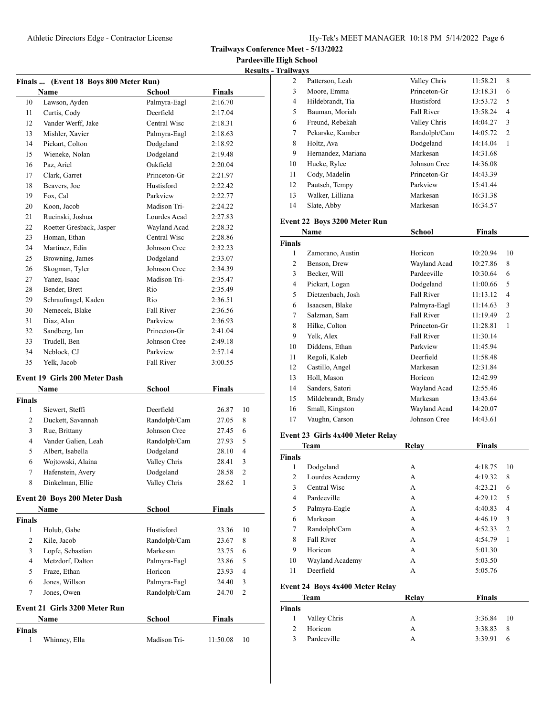**Trailways Conference Meet - 5/13/2022**

**Pardeeville High School Results - Tra** 

|    | Finals  (Event 18 Boys 800 Meter Run) |                   |               |  |
|----|---------------------------------------|-------------------|---------------|--|
|    | <b>Name</b>                           | School            | <b>Finals</b> |  |
| 10 | Lawson, Ayden                         | Palmyra-Eagl      | 2:16.70       |  |
| 11 | Curtis, Cody                          | Deerfield         | 2:17.04       |  |
| 12 | Vander Werff, Jake                    | Central Wisc      | 2:18.31       |  |
| 13 | Mishler, Xavier                       | Palmyra-Eagl      | 2:18.63       |  |
| 14 | Pickart, Colton                       | Dodgeland         | 2:18.92       |  |
| 15 | Wieneke, Nolan                        | Dodgeland         | 2:19.48       |  |
| 16 | Paz, Ariel                            | Oakfield          | 2:20.04       |  |
| 17 | Clark, Garret                         | Princeton-Gr      | 2:21.97       |  |
| 18 | Beavers, Joe                          | Hustisford        | 2:22.42       |  |
| 19 | Fox, Cal                              | Parkview          | 2:22.77       |  |
| 20 | Koon, Jacob                           | Madison Tri-      | 2:24.22       |  |
| 21 | Rucinski, Joshua                      | Lourdes Acad      | 2:27.83       |  |
| 22 | Roetter Gresback, Jasper              | Wayland Acad      | 2:28.32       |  |
| 23 | Homan, Ethan                          | Central Wisc      | 2:28.86       |  |
| 24 | Martinez, Edin                        | Johnson Cree      | 2:32.23       |  |
| 25 | Browning, James                       | Dodgeland         | 2:33.07       |  |
| 26 | Skogman, Tyler                        | Johnson Cree      | 2:34.39       |  |
| 27 | Yanez, Isaac                          | Madison Tri-      | 2:35.47       |  |
| 28 | Bender, Brett                         | Rio               | 2:35.49       |  |
| 29 | Schraufnagel, Kaden                   | Rio               | 2:36.51       |  |
| 30 | Nemecek, Blake                        | <b>Fall River</b> | 2:36.56       |  |
| 31 | Diaz, Alan                            | Parkview          | 2:36.93       |  |
| 32 | Sandberg, Ian                         | Princeton-Gr      | 2:41.04       |  |
| 33 | Trudell, Ben                          | Johnson Cree      | 2:49.18       |  |
| 34 | Neblock, CJ                           | Parkview          | 2:57.14       |  |
| 35 | Yelk. Jacob                           | <b>Fall River</b> | 3:00.55       |  |

### **Event 19 Girls 200 Meter Dash**

|                | Name                                | <b>School</b> | Finals        |                |
|----------------|-------------------------------------|---------------|---------------|----------------|
| Finals         |                                     |               |               |                |
| 1              | Siewert, Steffi                     | Deerfield     | 26.87         | 10             |
| $\overline{c}$ | Duckett, Savannah                   | Randolph/Cam  | 27.05         | 8              |
| 3              | Rue, Brittany                       | Johnson Cree  | 27.45         | 6              |
| 4              | Vander Galien, Leah                 | Randolph/Cam  | 27.93         | 5              |
| 5              | Albert, Isabella                    | Dodgeland     | 28.10         | 4              |
| 6              | Wojtowski, Alaina                   | Valley Chris  | 28.41         | 3              |
| 7              | Hafenstein, Avery                   | Dodgeland     | 28.58         | 2              |
| 8              | Dinkelman, Ellie                    | Valley Chris  | 28.62         | 1              |
|                | <b>Event 20 Boys 200 Meter Dash</b> |               |               |                |
|                | Name                                | School        | <b>Finals</b> |                |
| Finals         |                                     |               |               |                |
| 1              | Holub, Gabe                         | Hustisford    | 23.36         | 10             |
| $\overline{2}$ | Kile, Jacob                         | Randolph/Cam  | 23.67         | 8              |
| 3              | Lopfe, Sebastian                    | Markesan      | 23.75         | 6              |
| $\overline{4}$ | Metzdorf, Dalton                    | Palmyra-Eagl  | 23.86         | 5              |
| 5              | Fraze, Ethan                        | Horicon       | 23.93         | $\overline{4}$ |
| 6              | Jones, Willson                      | Palmyra-Eagl  | 24.40         | 3              |
| 7              | Jones, Owen                         | Randolph/Cam  | 24.70         | 2              |
|                | Event 21 Girls 3200 Meter Run       |               |               |                |
|                | <b>Name</b>                         | School        | <b>Finals</b> |                |
| Finals         |                                     |               |               |                |
| 1              | Whinney, Ella                       | Madison Tri-  | 11:50.08      | 10             |

| ailwavs |                    |              |          |                |  |
|---------|--------------------|--------------|----------|----------------|--|
| 2       | Patterson, Leah    | Valley Chris | 11:58.21 | 8              |  |
| 3       | Moore, Emma        | Princeton-Gr | 13:18.31 | 6              |  |
| 4       | Hildebrandt, Tia   | Hustisford   | 13:53.72 | 5              |  |
| 5       | Bauman, Moriah     | Fall River   | 13:58.24 | 4              |  |
| 6       | Freund, Rebekah    | Valley Chris | 14:04.27 | 3              |  |
| 7       | Pekarske, Kamber   | Randolph/Cam | 14:05.72 | $\overline{c}$ |  |
| 8       | Holtz, Ava         | Dodgeland    | 14:14.04 | 1              |  |
| 9       | Hernandez, Mariana | Markesan     | 14:31.68 |                |  |
| 10      | Hucke, Rylee       | Johnson Cree | 14:36.08 |                |  |
| 11      | Cody, Madelin      | Princeton-Gr | 14:43.39 |                |  |
| 12      | Pautsch, Tempy     | Parkview     | 15:41.44 |                |  |
| 13      | Walker, Lilliana   | Markesan     | 16:31.38 |                |  |
| 14      | Slate, Abby        | Markesan     | 16:34.57 |                |  |
|         |                    |              |          |                |  |

## **Event 22 Boys 3200 Meter Run**

|               | Name               | School            | <b>Finals</b> |                |
|---------------|--------------------|-------------------|---------------|----------------|
| <b>Finals</b> |                    |                   |               |                |
| 1             | Zamorano, Austin   | Horicon           | 10:20.94      | 10             |
| 2             | Benson, Drew       | Wayland Acad      | 10:27.86      | 8              |
| 3             | Becker, Will       | Pardeeville       | 10:30.64      | 6              |
| 4             | Pickart, Logan     | Dodgeland         | 11:00.66      | 5              |
| 5             | Dietzenbach, Josh  | Fall River        | 11:13.12      | 4              |
| 6             | Isaacsen, Blake    | Palmyra-Eagl      | 11:14.63      | 3              |
| 7             | Salzman, Sam       | Fall River        | 11:19.49      | $\overline{2}$ |
| 8             | Hilke, Colton      | Princeton-Gr      | 11:28.81      | 1              |
| 9             | Yelk, Alex         | <b>Fall River</b> | 11:30.14      |                |
| 10            | Diddens, Ethan     | Parkview          | 11:45.94      |                |
| 11            | Regoli, Kaleb      | Deerfield         | 11:58.48      |                |
| 12            | Castillo, Angel    | Markesan          | 12:31.84      |                |
| 13            | Holl, Mason        | Horicon           | 12:42.99      |                |
| 14            | Sanders, Satori    | Wayland Acad      | 12:55.46      |                |
| 15            | Mildebrandt, Brady | Markesan          | 13:43.64      |                |
| 16            | Small, Kingston    | Wayland Acad      | 14:20.07      |                |
| 17            | Vaughn, Carson     | Johnson Cree      | 14:43.61      |                |

### **Event 23 Girls 4x400 Meter Relay**

|                                 | <b>Team</b>     | Relay | <b>Finals</b> |                |
|---------------------------------|-----------------|-------|---------------|----------------|
| <b>Finals</b>                   |                 |       |               |                |
| 1                               | Dodgeland       | A     | 4:18.75       | 10             |
| 2                               | Lourdes Academy | А     | 4:19.32       | 8              |
| 3                               | Central Wisc    | А     | 4:23.21       | 6              |
| 4                               | Pardeeville     | А     | 4:29.12       | 5              |
| 5                               | Palmyra-Eagle   | А     | 4:40.83       | 4              |
| 6                               | Markesan        | A     | 4:46.19       | 3              |
| 7                               | Randolph/Cam    | А     | 4:52.33       | $\overline{2}$ |
| 8                               | Fall River      | A     | 4:54.79       | 1              |
| 9                               | Horicon         | А     | 5:01.30       |                |
| 10                              | Wayland Academy | A     | 5:03.50       |                |
| 11                              | Deerfield       | A     | 5:05.76       |                |
| Event 24 Boys 4x400 Meter Relay |                 |       |               |                |

|               | Team         | Relav | <b>Finals</b>  |  |
|---------------|--------------|-------|----------------|--|
| <b>Finals</b> |              |       |                |  |
| 1             | Valley Chris | А     | $3:36.84$ 10   |  |
| $\mathcal{D}$ | Horicon      | А     | 3:38.83<br>- 8 |  |
| 3             | Pardeeville  |       | 3:39.91<br>-6  |  |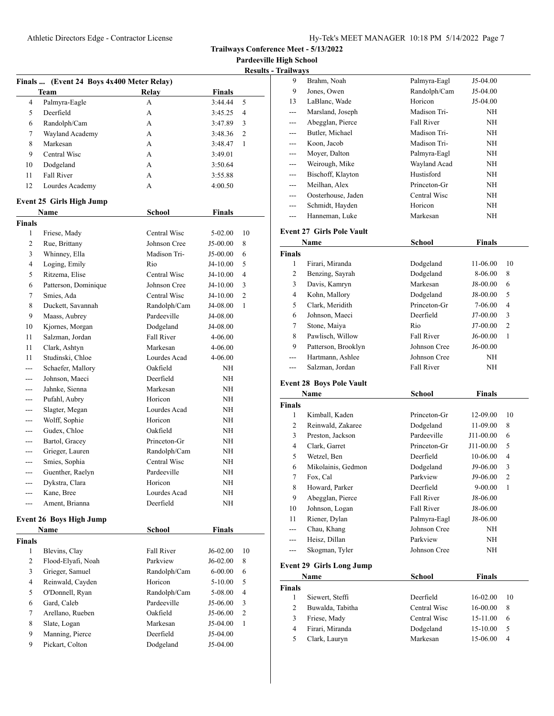**Trailways Conference Meet - 5/13/2022**

**Pardeeville High School Results - Trai** 

|                |                                           |                   |               | Results        |
|----------------|-------------------------------------------|-------------------|---------------|----------------|
|                | Finals  (Event 24 Boys 4x400 Meter Relay) |                   |               |                |
|                | Team                                      | Relay             | <b>Finals</b> |                |
| 4              | Palmyra-Eagle                             | A                 | 3:44.44       | 5              |
| 5              | Deerfield                                 | А                 | 3:45.25       | $\overline{4}$ |
| 6              | Randolph/Cam                              | A                 | 3:47.89       | 3              |
| 7              | Wayland Academy                           | A                 | 3:48.36       | 2              |
| 8              | Markesan                                  | A                 | 3:48.47       | 1              |
| 9              | Central Wisc                              | A                 | 3:49.01       |                |
| 10             | Dodgeland                                 | A                 | 3:50.64       |                |
| 11             | <b>Fall River</b>                         | A                 | 3:55.88       |                |
| 12             | Lourdes Academy                           | A                 | 4:00.50       |                |
|                | Event 25 Girls High Jump                  |                   |               |                |
|                | Name                                      | <b>School</b>     | <b>Finals</b> |                |
| Finals         |                                           |                   |               |                |
| $\mathbf{1}$   | Friese, Mady                              | Central Wisc      | 5-02.00       | 10             |
| 2              | Rue, Brittany                             | Johnson Cree      | J5-00.00      | 8              |
| 3              | Whinney, Ella                             | Madison Tri-      | J5-00.00      | 6              |
| $\overline{4}$ | Loging, Emily                             | Rio               | $J4-10.00$    | 5              |
| 5              | Ritzema, Elise                            | Central Wisc      | J4-10.00      | 4              |
| 6              | Patterson, Dominique                      | Johnson Cree      | J4-10.00      | 3              |
| 7              | Smies, Ada                                | Central Wisc      | J4-10.00      | $\overline{c}$ |
| 8              | Duckett, Savannah                         | Randolph/Cam      | J4-08.00      | 1              |
| 9              | Maass, Aubrey                             | Pardeeville       | J4-08.00      |                |
| 10             | Kjornes, Morgan                           | Dodgeland         | J4-08.00      |                |
| 11             | Salzman, Jordan                           | <b>Fall River</b> | 4-06.00       |                |
| 11             | Clark, Ashtyn                             | Markesan          | 4-06.00       |                |
| 11             | Studinski, Chloe                          | Lourdes Acad      | 4-06.00       |                |
|                | Schaefer, Mallory                         | Oakfield          | NΗ            |                |
|                | Johnson, Maeci                            | Deerfield         | NΗ            |                |
| ---            | Jahnke, Sienna                            | Markesan          | ΝH            |                |
| ---            | Pufahl, Aubry                             | Horicon           | NΗ            |                |
| ---            | Slagter, Megan                            | Lourdes Acad      | ΝH            |                |
| ---            | Wolff, Sophie                             | Horicon           | ΝH            |                |
|                | Gudex, Chloe                              | Oakfield          | NΗ            |                |
| ---            | Bartol, Gracey                            | Princeton-Gr      | ΝH            |                |
| ---            | Grieger, Lauren                           | Randolph/Cam      | ΝH            |                |
| ---            | Smies, Sophia                             | Central Wisc      | NΗ            |                |
| $- - -$        | Guenther, Raelyn                          | Pardeeville       | NΗ            |                |
| ---            | Dykstra, Clara                            | Horicon           | NΗ            |                |
|                | Kane, Bree                                | Lourdes Acad      | NΗ            |                |
|                | Ament, Brianna                            | Deerfield         | NΗ            |                |
|                | Event 26 Boys High Jump                   |                   |               |                |
|                | Name                                      | School            | Finals        |                |
| Finals         |                                           |                   |               |                |
| 1              | Blevins, Clay                             | Fall River        | J6-02.00      | 10             |
| $\overline{c}$ | Flood-Elyafi, Noah                        | Parkview          | J6-02.00      | 8              |
| 3              | Grieger, Samuel                           | Randolph/Cam      | $6 - 00.00$   | 6              |
| 4              | Reinwald, Cayden                          | Horicon           | 5-10.00       | 5              |
| 5              | O'Donnell, Ryan                           | Randolph/Cam      | 5-08.00       | $\overline{4}$ |
| 6              | Gard, Caleb                               | Pardeeville       | J5-06.00      | 3              |
| 7              | Arellano, Rueben                          | Oakfield          | J5-06.00      | 2              |
| $\,8\,$        | Slate, Logan                              | Markesan          | J5-04.00      | $\mathbf{1}$   |
| 9              | Manning, Pierce                           | Deerfield         | J5-04.00      |                |
| 9              | Pickart, Colton                           | Dodgeland         | J5-04.00      |                |
|                |                                           |                   |               |                |

| ıilwavs |                    |              |            |
|---------|--------------------|--------------|------------|
| 9       | Brahm, Noah        | Palmyra-Eagl | $J5-04.00$ |
| 9       | Jones, Owen        | Randolph/Cam | $J5-04.00$ |
| 13      | LaBlanc, Wade      | Horicon      | $J5-04.00$ |
| $---$   | Marsland, Joseph   | Madison Tri- | NH         |
| $---$   | Abegglan, Pierce   | Fall River   | NH         |
|         | Butler, Michael    | Madison Tri- | NH         |
| $---$   | Koon, Jacob        | Madison Tri- | NH         |
| ---     | Moyer, Dalton      | Palmyra-Eagl | NH         |
| $---$   | Weirough, Mike     | Wayland Acad | NH         |
| ---     | Bischoff, Klayton  | Hustisford   | NH         |
| ---     | Meilhan, Alex      | Princeton-Gr | NH         |
|         | Oosterhouse, Jaden | Central Wisc | NH         |
|         | Schmidt, Hayden    | Horicon      | NH         |
|         | Hanneman, Luke     | Markesan     | NH         |
|         |                    |              |            |

## **Event 27 Girls Pole Vault**

|               | Name                | <b>School</b> | <b>Finals</b> |                |
|---------------|---------------------|---------------|---------------|----------------|
| <b>Finals</b> |                     |               |               |                |
| 1             | Firari, Miranda     | Dodgeland     | 11-06.00      | 10             |
| 2             | Benzing, Sayrah     | Dodgeland     | 8-06.00       | 8              |
| 3             | Davis, Kamryn       | Markesan      | J8-00.00      | 6              |
| 4             | Kohn, Mallory       | Dodgeland     | J8-00.00      | 5              |
| 5             | Clark, Meridith     | Princeton-Gr  | 7-06.00       | $\overline{4}$ |
| 6             | Johnson, Maeci      | Deerfield     | $J7-00.00$    | 3              |
| 7             | Stone, Maiya        | Rio           | J7-00.00      | $\overline{2}$ |
| 8             | Pawlisch, Willow    | Fall River    | $J6-00.00$    | 1              |
| 9             | Patterson, Brooklyn | Johnson Cree  | $J6-00.00$    |                |
| ---           | Hartmann, Ashlee    | Johnson Cree  | ΝH            |                |
|               | Salzman, Jordan     | Fall River    | NH            |                |

# **Event 28 Boys Pole Vault**

| School<br>Name |                                 | Finals       |               |                |
|----------------|---------------------------------|--------------|---------------|----------------|
| <b>Finals</b>  |                                 |              |               |                |
| 1              | Kimball, Kaden                  | Princeton-Gr | 12-09.00      | 10             |
| $\overline{c}$ | Reinwald, Zakaree               | Dodgeland    | $11-09.00$    | 8              |
| 3              | Preston, Jackson                | Pardeeville  | J11-00.00     | 6              |
| 4              | Clark, Garret                   | Princeton-Gr | J11-00.00     | 5              |
| 5              | Wetzel, Ben                     | Deerfield    | 10-06.00      | 4              |
| 6              | Mikolainis, Gedmon              | Dodgeland    | J9-06.00      | 3              |
| 7              | Fox, Cal                        | Parkview     | J9-06.00      | $\overline{c}$ |
| 8              | Howard, Parker                  | Deerfield    | $9 - 00.00$   | 1              |
| 9              | Abegglan, Pierce                | Fall River   | J8-06.00      |                |
| 10             | Johnson, Logan                  | Fall River   | J8-06.00      |                |
| 11             | Riener, Dylan                   | Palmyra-Eagl | J8-06.00      |                |
|                | Chau, Khang                     | Johnson Cree | <b>NH</b>     |                |
| ---            | Heisz, Dillan                   | Parkview     | NH            |                |
| ---            | Skogman, Tyler                  | Johnson Cree | NH            |                |
|                | <b>Event 29 Girls Long Jump</b> |              |               |                |
|                | Name                            | School       | <b>Finals</b> |                |
| <b>Finals</b>  |                                 |              |               |                |
| 1              | Siewert, Steffi                 | Deerfield    | $16-02.00$    | 10             |
| 2              | Buwalda, Tabitha                | Central Wisc | 16-00.00      | 8              |
| 3              | Friese, Mady                    | Central Wisc | 15-11.00      | 6              |
| $\overline{4}$ | Firari, Miranda                 | Dodgeland    | 15-10.00      | 5              |
| 5              | Clark, Lauryn                   | Markesan     | 15-06.00      | $\overline{4}$ |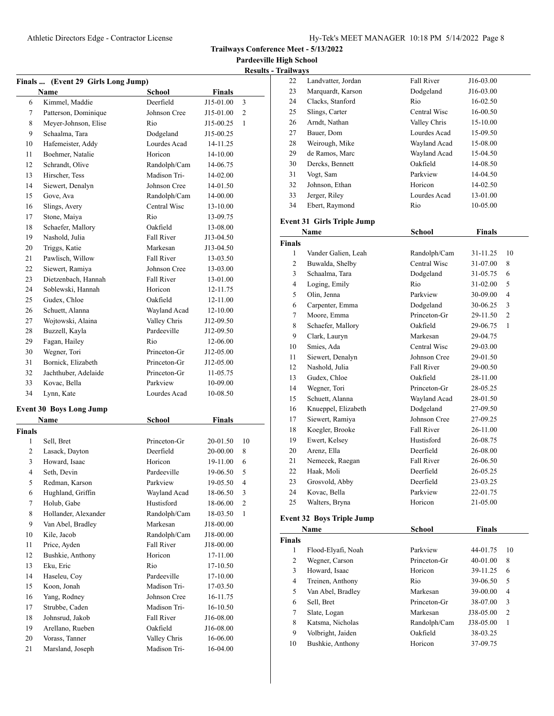**Pardeeville High School**

| <b>Results - Trailways</b> |
|----------------------------|

|         | Finals  (Event 29 Girls Long Jump) |                   |               |                          |
|---------|------------------------------------|-------------------|---------------|--------------------------|
|         | <b>Name</b>                        | <b>School</b>     | Finals        |                          |
| 6       | Kimmel, Maddie                     | Deerfield         | J15-01.00     | 3                        |
| 7       | Patterson, Dominique               | Johnson Cree      | J15-01.00     | $\overline{c}$           |
| 8       | Meyer-Johnson, Elise               | Rio               | J15-00.25     | 1                        |
| 9       | Schaalma, Tara                     | Dodgeland         | J15-00.25     |                          |
| 10      | Hafemeister, Addy                  | Lourdes Acad      | 14-11.25      |                          |
| 11      | Boehmer, Natalie                   | Horicon           | 14-10.00      |                          |
| 12      | Schrandt, Olive                    | Randolph/Cam      | 14-06.75      |                          |
| 13      | Hirscher, Tess                     | Madison Tri-      | 14-02.00      |                          |
| 14      | Siewert, Denalyn                   | Johnson Cree      | 14-01.50      |                          |
| 15      | Gove, Ava                          | Randolph/Cam      | 14-00.00      |                          |
| 16      | Slings, Avery                      | Central Wisc      | 13-10.00      |                          |
| 17      | Stone, Maiya                       | Rio               | 13-09.75      |                          |
| 18      | Schaefer, Mallory                  | Oakfield          | 13-08.00      |                          |
| 19      | Nashold, Julia                     | <b>Fall River</b> | J13-04.50     |                          |
| 20      | Triggs, Katie                      | Markesan          | J13-04.50     |                          |
| 21      | Pawlisch, Willow                   | <b>Fall River</b> | 13-03.50      |                          |
| 22      | Siewert, Ramiya                    | Johnson Cree      | 13-03.00      |                          |
| 23      | Dietzenbach, Hannah                | <b>Fall River</b> | 13-01.00      |                          |
| 24      | Soblewski, Hannah                  | Horicon           | 12-11.75      |                          |
| 25      | Gudex, Chloe                       | Oakfield          | 12-11.00      |                          |
| 26      | Schuett, Alanna                    | Wayland Acad      | 12-10.00      |                          |
| 27      | Wojtowski, Alaina                  | Valley Chris      | J12-09.50     |                          |
| 28      | Buzzell, Kayla                     | Pardeeville       | J12-09.50     |                          |
| 29      | Fagan, Hailey                      | Rio               | 12-06.00      |                          |
| 30      | Wegner, Tori                       | Princeton-Gr      | J12-05.00     |                          |
| 31      | Bornick, Elizabeth                 | Princeton-Gr      | J12-05.00     |                          |
| 32      | Jachthuber, Adelaide               | Princeton-Gr      | 11-05.75      |                          |
| 33      | Kovac, Bella                       | Parkview          | 10-09.00      |                          |
| 34      | Lynn, Kate                         | Lourdes Acad      | 10-08.50      |                          |
|         |                                    |                   |               |                          |
|         | <b>Event 30 Boys Long Jump</b>     |                   |               |                          |
|         | <b>Name</b>                        | School            | <b>Finals</b> |                          |
| Finals  |                                    |                   |               |                          |
| 1       | Sell, Bret                         | Princeton-Gr      | 20-01.50      | 10                       |
| 2       | Lasack, Dayton                     | Deerfield         | 20-00.00      | 8                        |
| 3       | Howard, Isaac                      | Horicon           | 19-11.00      | 6                        |
| 4       | Seth, Devin                        | Pardeeville       | 19-06.50      | 5                        |
| 5       | Redman, Karson                     | Parkview          | 19-05.50      | $\overline{\mathcal{L}}$ |
| 6       | Hughland, Griffin                  | Wayland Acad      | 18-06.50      | 3                        |
| $\tau$  | Holub, Gabe                        | Hustisford        | 18-06.00      | $\sqrt{2}$               |
| $\,8\,$ | Hollander, Alexander               | Randolph/Cam      | 18-03.50      | $\mathbf{1}$             |
| 9       | Van Abel, Bradley                  | Markesan          | J18-00.00     |                          |
| 10      | Kile, Jacob                        | Randolph/Cam      | J18-00.00     |                          |
| 11      | Price, Ayden                       | <b>Fall River</b> | J18-00.00     |                          |
| 12      | Bushkie, Anthony                   | Horicon           | 17-11.00      |                          |
| 13      | Eku, Eric                          | Rio               | 17-10.50      |                          |
| 14      | Haseleu, Coy                       | Pardeeville       | 17-10.00      |                          |
| 15      | Koon, Jonah                        | Madison Tri-      | 17-03.50      |                          |
| 16      | Yang, Rodney                       | Johnson Cree      | 16-11.75      |                          |
| 17      | Strubbe, Caden                     | Madison Tri-      | 16-10.50      |                          |
| 18      | Johnsrud, Jakob                    | Fall River        | J16-08.00     |                          |
| 19      | Arellano, Rueben                   | Oakfield          | J16-08.00     |                          |
| 20      | Vorass, Tanner                     | Valley Chris      | 16-06.00      |                          |
| 21      | Marsland, Joseph                   | Madison Tri-      | 16-04.00      |                          |

| 22            | Landvatter, Jordan                | Fall River        | J16-03.00     |    |
|---------------|-----------------------------------|-------------------|---------------|----|
| 23            | Marquardt, Karson                 | Dodgeland         | J16-03.00     |    |
| 24            | Clacks, Stanford                  | Rio               | 16-02.50      |    |
| 25            | Slings, Carter                    | Central Wisc      | 16-00.50      |    |
| 26            | Arndt, Nathan                     | Valley Chris      | 15-10.00      |    |
| 27            | Bauer, Dom                        | Lourdes Acad      | 15-09.50      |    |
| 28            | Weirough, Mike                    | Wayland Acad      | 15-08.00      |    |
| 29            | de Ramos, Marc                    | Wayland Acad      | 15-04.50      |    |
| 30            | Dercks, Bennett                   | Oakfield          | 14-08.50      |    |
| 31            | Vogt, Sam                         | Parkview          | 14-04.50      |    |
| 32            | Johnson, Ethan                    | Horicon           | 14-02.50      |    |
| 33            | Jerger, Riley                     | Lourdes Acad      | 13-01.00      |    |
| 34            | Ebert, Raymond                    | Rio               | 10-05.00      |    |
|               | <b>Event 31 Girls Triple Jump</b> |                   |               |    |
|               | Name                              | School            | <b>Finals</b> |    |
| <b>Finals</b> |                                   |                   |               |    |
| 1             | Vander Galien, Leah               | Randolph/Cam      | 31-11.25      | 10 |
| 2             | Buwalda, Shelby                   | Central Wisc      | 31-07.00      | 8  |
| 3             | Schaalma, Tara                    | Dodgeland         | 31-05.75      | 6  |
| 4             | Loging, Emily                     | Rio               | 31-02.00      | 5  |
| 5             | Olin, Jenna                       | Parkview          | 30-09.00      | 4  |
| 6             | Carpenter, Emma                   | Dodgeland         | 30-06.25      | 3  |
| 7             | Moore, Emma                       | Princeton-Gr      | 29-11.50      | 2  |
| 8             | Schaefer, Mallory                 | Oakfield          | 29-06.75      | 1  |
| 9             | Clark, Lauryn                     | Markesan          | 29-04.75      |    |
| 10            | Smies, Ada                        | Central Wisc      | 29-03.00      |    |
| 11            | Siewert, Denalyn                  | Johnson Cree      | 29-01.50      |    |
| 12            | Nashold, Julia                    | <b>Fall River</b> | 29-00.50      |    |
| 13            | Gudex, Chloe                      | Oakfield          | 28-11.00      |    |
| 14            | Wegner, Tori                      | Princeton-Gr      | 28-05.25      |    |
| 15            | Schuett, Alanna                   | Wayland Acad      | 28-01.50      |    |
| 16            | Knueppel, Elizabeth               | Dodgeland         | 27-09.50      |    |
| 17            | Siewert, Ramiya                   | Johnson Cree      | 27-09.25      |    |
| 18            | Koegler, Brooke                   | Fall River        | 26-11.00      |    |
| 19            | Ewert, Kelsey                     | Hustisford        | 26-08.75      |    |
| 20            | Arenz, Ella                       | Deerfield         | 26-08.00      |    |
| 21            | Nemecek, Raegan                   | <b>Fall River</b> | 26-06.50      |    |
| 22            | Haak, Moli                        | Deerfield         | 26-05.25      |    |
| 23            | Grosvold, Abby                    | Deerfield         | 23-03.25      |    |
| 24            | Kovac, Bella                      | Parkview          | 22-01.75      |    |
| 25            | Walters, Bryna                    | Horicon           | 21-05.00      |    |
|               | <b>Event 32 Boys Triple Jump</b>  |                   |               |    |
|               | <b>Name</b>                       | School            | <b>Finals</b> |    |
| Finals        |                                   |                   |               |    |
| $\mathbf{1}$  | Flood-Elyafi, Noah                | Parkview          | 44-01.75      | 10 |
| 2             | Wegner, Carson                    | Princeton-Gr      | 40-01.00      | 8  |
| 3             | Howard, Isaac                     | Horicon           | 39-11.25      | 6  |

 Treinen, Anthony Rio 39-06.50 5 Van Abel, Bradley Markesan 39-00.00 4 Sell, Bret Princeton-Gr 38-07.00 3 Slate, Logan Markesan J38-05.00 2 Katsma, Nicholas Randolph/Cam J38-05.00 1 Volbright, Jaiden Oakfield 38-03.25 Bushkie, Anthony Horicon 37-09.75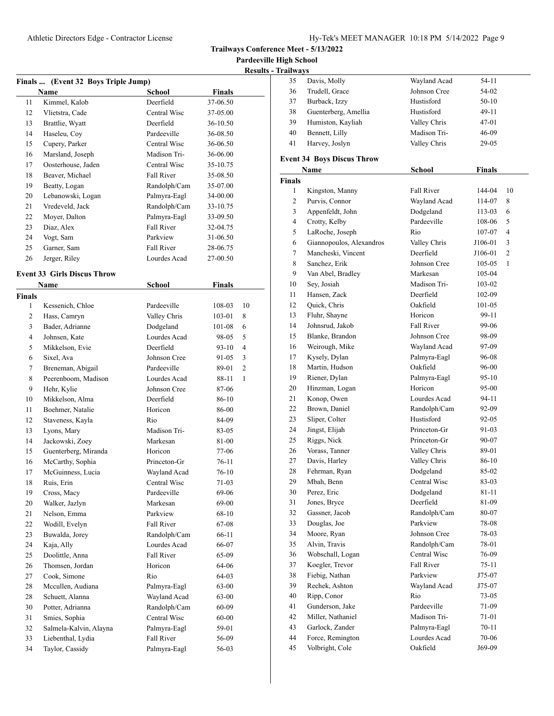**Pardeeville High School**

| <b>Results - Trailways</b> |
|----------------------------|
|                            |

|                | Finals  (Event 32 Boys Triple Jump) |                   |               |                |
|----------------|-------------------------------------|-------------------|---------------|----------------|
|                | Name                                | <b>School</b>     | <b>Finals</b> |                |
| 11             | Kimmel, Kalob                       | Deerfield         | 37-06.50      |                |
| 12             | Vlietstra, Cade                     | Central Wisc      | 37-05.00      |                |
| 13             | Brattlie, Wyatt                     | Deerfield         | 36-10.50      |                |
| 14             | Haseleu, Coy                        | Pardeeville       | 36-08.50      |                |
| 15             | Cupery, Parker                      | Central Wisc      | 36-06.50      |                |
| 16             | Marsland, Joseph                    | Madison Tri-      | 36-06.00      |                |
| 17             | Oosterhouse, Jaden                  | Central Wisc      | 35-10.75      |                |
| 18             | Beaver, Michael                     | <b>Fall River</b> | 35-08.50      |                |
| 19             | Beatty, Logan                       | Randolph/Cam      | 35-07.00      |                |
| 20             | Lebanowski, Logan                   | Palmyra-Eagl      | 34-00.00      |                |
| 21             | Vredeveld, Jack                     | Randolph/Cam      | 33-10.75      |                |
| 22             | Moyer, Dalton                       | Palmyra-Eagl      | 33-09.50      |                |
| 23             | Diaz, Alex                          | Fall River        | 32-04.75      |                |
| 24             | Vogt, Sam                           | Parkview          | 31-06.50      |                |
| 25             | Garner, Sam                         | <b>Fall River</b> | 28-06.75      |                |
| 26             | Jerger, Riley                       | Lourdes Acad      | 27-00.50      |                |
|                |                                     |                   |               |                |
|                | <b>Event 33 Girls Discus Throw</b>  |                   |               |                |
|                | Name                                | <b>School</b>     | <b>Finals</b> |                |
| Finals         |                                     |                   |               |                |
| 1              | Kessenich, Chloe                    | Pardeeville       | 108-03        | 10             |
| 2              | Hass, Camryn                        | Valley Chris      | 103-01        | 8              |
| 3              | Bader, Adrianne                     | Dodgeland         | 101-08        | 6              |
| $\overline{4}$ | Johnsen, Kate                       | Lourdes Acad      | 98-05         | 5              |
| 5              | Mikkelson, Evie                     | Deerfield         | $93-10$       | $\overline{4}$ |
| 6              | Sixel, Ava                          | Johnson Cree      | 91-05         | 3              |
| 7              | Breneman, Abigail                   | Pardeeville       | 89-01         | $\overline{2}$ |
| 8              | Peerenboom, Madison                 | Lourdes Acad      | 88-11         | 1              |
| 9              | Hehr, Kylie                         | Johnson Cree      | 87-06         |                |
| 10             | Mikkelson, Alma                     | Deerfield         | 86-10         |                |
| 11             | Boehmer, Natalie                    | Horicon           | 86-00         |                |
| 12             | Staveness, Kayla                    | Rio               | 84-09         |                |
| 13             | Lyons, Mary                         | Madison Tri-      | 83-05         |                |
| 14             | Jackowski, Zoey                     | Markesan          | 81-00         |                |
| 15             | Guenterberg, Miranda                | Horicon           | 77-06         |                |
| 16             | McCarthy, Sophia                    | Princeton-Gr      | 76-11         |                |
| 17             | McGuinness, Lucia                   | Wayland Acad      | $76-10$       |                |
| 18             | Ruis, Erin                          | Central Wisc      | $71-03$       |                |
| 19             | Cross, Macy                         | Pardeeville       | 69-06         |                |
| 20             | Walker, Jazlyn                      | Markesan          | 69-00         |                |
| 21             | Nelson, Emma                        | Parkview          | 68-10         |                |
| 22             | Wodill, Evelyn                      | Fall River        | 67-08         |                |
| 23             | Buwalda, Jorey                      | Randolph/Cam      | 66-11         |                |
| 24             | Kaja, Ally                          | Lourdes Acad      | 66-07         |                |
| 25             | Doolittle, Anna                     | Fall River        | 65-09         |                |
| 26             | Thomsen, Jordan                     | Horicon           | 64-06         |                |
| 27             | Cook, Simone                        | Rio               | 64-03         |                |
| 28             | Mccullen, Audiana                   | Palmyra-Eagl      | 63-00         |                |
| 28             | Schuett, Alanna                     | Wayland Acad      | 63-00         |                |
| 30             | Potter, Adrianna                    | Randolph/Cam      | 60-09         |                |
| 31             | Smies, Sophia                       | Central Wisc      | 60-00         |                |
| 32             | Salmela-Kalvin, Alayna              | Palmyra-Eagl      | 59-01         |                |
| 33             | Liebenthal, Lydia                   | Fall River        | 56-09         |                |
| 34             | Taylor, Cassidy                     | Palmyra-Eagl      |               |                |
|                |                                     |                   | 56-03         |                |

| 35 | Davis, Molly         | Wayland Acad | 54-11     |  |
|----|----------------------|--------------|-----------|--|
| 36 | Trudell, Grace       | Johnson Cree | 54-02     |  |
| 37 | Burback, Izzy        | Hustisford   | $50-10$   |  |
| 38 | Guenterberg, Amellia | Hustisford   | $49-11$   |  |
| 39 | Humiston, Kayliah    | Valley Chris | $47 - 01$ |  |
| 40 | Bennett, Lilly       | Madison Tri- | $46-09$   |  |
| 41 | Harvey, Joslyn       | Valley Chris | 29-05     |  |
|    |                      |              |           |  |

## **Event 34 Boys Discus Throw**

|               | Name                     | School            | <b>Finals</b> |                |
|---------------|--------------------------|-------------------|---------------|----------------|
| <b>Finals</b> |                          |                   |               |                |
| 1             | Kingston, Manny          | <b>Fall River</b> | 144-04        | 10             |
| 2             | Purvis, Connor           | Wayland Acad      | 114-07        | 8              |
| 3             | Appenfeldt, John         | Dodgeland         | 113-03        | 6              |
| 4             | Crotty, Kelby            | Pardeeville       | 108-06        | 5              |
| 5             | LaRoche, Joseph          | Rio               | 107-07        | $\overline{4}$ |
| 6             | Giannopoulos, Alexandros | Valley Chris      | J106-01       | 3              |
| 7             | Mancheski, Vincent       | Deerfield         | J106-01       | 2              |
| 8             | Sanchez, Erik            | Johnson Cree      | 105-05        | 1              |
| 9             | Van Abel, Bradley        | Markesan          | 105-04        |                |
| 10            | Sey, Josiah              | Madison Tri-      | 103-02        |                |
| 11            | Hansen, Zack             | Deerfield         | 102-09        |                |
| 12            | Quick, Chris             | Oakfield          | 101-05        |                |
| 13            | Fluhr, Shayne            | Horicon           | 99-11         |                |
| 14            | Johnsrud, Jakob          | Fall River        | 99-06         |                |
| 15            | Blanke, Brandon          | Johnson Cree      | 98-09         |                |
| 16            | Weirough, Mike           | Wayland Acad      | 97-09         |                |
| 17            | Kysely, Dylan            | Palmyra-Eagl      | 96-08         |                |
| 18            | Martin, Hudson           | Oakfield          | 96-00         |                |
| 19            | Riener, Dylan            | Palmyra-Eagl      | $95-10$       |                |
| 20            | Hinzman, Logan           | Horicon           | 95-00         |                |
| 21            | Konop, Owen              | Lourdes Acad      | 94-11         |                |
| 22            | Brown, Daniel            | Randolph/Cam      | 92-09         |                |
| 23            | Sliper, Colter           | Hustisford        | $92 - 05$     |                |
| 24            | Jingst, Elijah           | Princeton-Gr      | 91-03         |                |
| 25            | Riggs, Nick              | Princeton-Gr      | 90-07         |                |
| 26            | Vorass, Tanner           | Valley Chris      | 89-01         |                |
| 27            | Davis, Harley            | Valley Chris      | 86-10         |                |
| 28            | Fehrman, Ryan            | Dodgeland         | 85-02         |                |
| 29            | Mbah, Benn               | Central Wisc      | 83-03         |                |
| 30            | Perez, Eric              | Dodgeland         | 81-11         |                |
| 31            | Jones, Bryce             | Deerfield         | 81-09         |                |
| 32            | Gassner, Jacob           | Randolph/Cam      | 80-07         |                |
| 33            | Douglas, Joe             | Parkview          | 78-08         |                |
| 34            | Moore, Ryan              | Johnson Cree      | 78-03         |                |
| 35            | Alvin, Travis            | Randolph/Cam      | 78-01         |                |
| 36            | Wobschall, Logan         | Central Wisc      | 76-09         |                |
| 37            | Koegler, Trevor          | <b>Fall River</b> | 75-11         |                |
| 38            | Fiebig, Nathan           | Parkview          | J75-07        |                |
| 39            | Rechek, Ashton           | Wayland Acad      | J75-07        |                |
| 40            | Ripp, Conor              | Rio               | 73-05         |                |
| 41            | Gunderson, Jake          | Pardeeville       | 71-09         |                |
| 42            | Miller, Nathaniel        | Madison Tri-      | 71-01         |                |
| 43            | Garlock, Zander          | Palmyra-Eagl      | 70-11         |                |
| 44            | Force, Remington         | Lourdes Acad      | 70-06         |                |
| 45            | Volbright, Cole          | Oakfield          | J69-09        |                |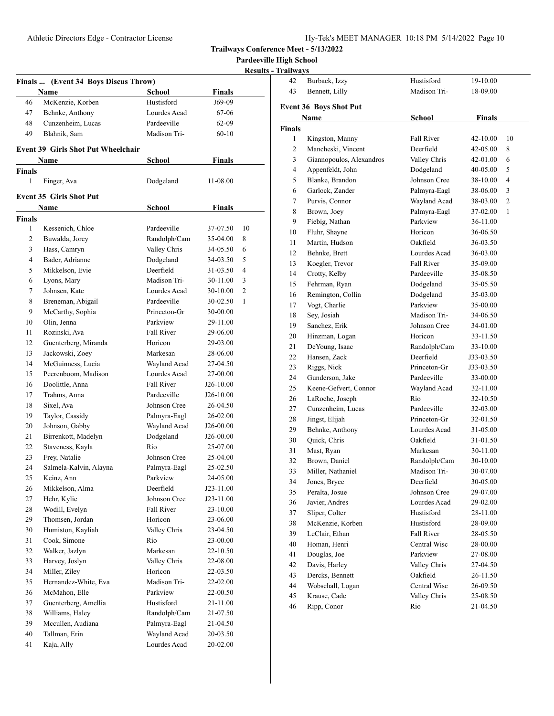Burback, Izzy Hustisford 19-10.00

**Trailways Conference Meet - 5/13/2022**

**Pardeeville High School**

| <b>Results - Trailways</b> |  |
|----------------------------|--|
|----------------------------|--|

|               |                                      |                          |               | <b>Results</b> |
|---------------|--------------------------------------|--------------------------|---------------|----------------|
|               | Finals  (Event 34 Boys Discus Throw) |                          |               |                |
|               | <b>Name</b>                          | <b>School</b>            | <b>Finals</b> |                |
| 46            | McKenzie, Korben                     | Hustisford               | J69-09        |                |
| 47            | Behnke, Anthony                      | Lourdes Acad             | 67-06         |                |
| 48            | Cunzenheim, Lucas                    | Pardeeville              | 62-09         |                |
| 49            | Blahnik, Sam                         | Madison Tri-             | $60 - 10$     |                |
|               | Event 39 Girls Shot Put Wheelchair   |                          |               |                |
|               | <b>Name</b>                          | School                   | <b>Finals</b> |                |
| <b>Finals</b> |                                      |                          |               |                |
| 1             | Finger, Ava                          | Dodgeland                | 11-08.00      |                |
|               | <b>Event 35 Girls Shot Put</b>       |                          |               |                |
|               | Name                                 | School                   | Finals        |                |
| <b>Finals</b> |                                      |                          |               |                |
| 1             | Kessenich, Chloe                     | Pardeeville              | 37-07.50      | 10             |
| 2             | Buwalda, Jorey                       | Randolph/Cam             | 35-04.00      | 8              |
| 3             | Hass, Camryn                         | Valley Chris             | 34-05.50      | 6              |
| 4             | Bader, Adrianne                      | Dodgeland                | 34-03.50      | 5              |
| 5             | Mikkelson, Evie                      | Deerfield                | 31-03.50      | 4              |
| 6             | Lyons, Mary                          | Madison Tri-             | 30-11.00      | 3              |
| 7             | Johnsen, Kate                        | Lourdes Acad             | 30-10.00      | 2              |
| 8             | Breneman, Abigail                    | Pardeeville              | 30-02.50      | 1              |
| 9             | McCarthy, Sophia                     | Princeton-Gr             | 30-00.00      |                |
| 10            | Olin, Jenna                          | Parkview                 | 29-11.00      |                |
| 11            | Rozinski, Ava                        | <b>Fall River</b>        | 29-06.00      |                |
| 12            | Guenterberg, Miranda                 | Horicon                  | 29-03.00      |                |
| 13            | Jackowski, Zoey                      | Markesan                 | 28-06.00      |                |
| 14            | McGuinness, Lucia                    | Wayland Acad             | 27-04.50      |                |
| 15            | Peerenboom, Madison                  | Lourdes Acad             | 27-00.00      |                |
| 16            | Doolittle, Anna                      | Fall River               | J26-10.00     |                |
| 17            | Trahms, Anna                         | Pardeeville              | J26-10.00     |                |
| 18            | Sixel, Ava                           | Johnson Cree             | 26-04.50      |                |
| 19            | Taylor, Cassidy                      | Palmyra-Eagl             | 26-02.00      |                |
| 20            | Johnson, Gabby                       | Wayland Acad             | $J26-00.00$   |                |
| 21            | Birrenkott, Madelyn                  | Dodgeland                | $J26-00.00$   |                |
| 22            | Staveness, Kayla                     | Rio                      | 25-07.00      |                |
| 23            | Frey, Natalie                        | Johnson Cree             | 25-04.00      |                |
| 24            |                                      |                          | 25-02.50      |                |
| 25            | Salmela-Kalvin, Alayna<br>Keinz, Ann | Palmyra-Eagl<br>Parkview | 24-05.00      |                |
| 26            |                                      | Deerfield                |               |                |
|               | Mikkelson, Alma                      |                          | J23-11.00     |                |
| 27            | Hehr, Kylie<br>Wodill, Evelyn        | Johnson Cree             | J23-11.00     |                |
| 28            |                                      | Fall River               | 23-10.00      |                |
| 29            | Thomsen, Jordan                      | Horicon                  | 23-06.00      |                |
| 30            | Humiston, Kayliah                    | Valley Chris             | 23-04.50      |                |
| 31            | Cook, Simone                         | Rio                      | 23-00.00      |                |
| 32            | Walker, Jazlyn                       | Markesan                 | 22-10.50      |                |
| 33            | Harvey, Joslyn                       | Valley Chris             | 22-08.00      |                |
| 34            | Miller, Ziley                        | Horicon                  | 22-03.50      |                |
| 35            | Hernandez-White, Eva                 | Madison Tri-             | 22-02.00      |                |
| 36            | McMahon, Elle                        | Parkview                 | 22-00.50      |                |
| 37            | Guenterberg, Amellia                 | Hustisford               | 21-11.00      |                |
| 38            | Williams, Haley                      | Randolph/Cam             | 21-07.50      |                |
| 39            | Mccullen, Audiana                    | Palmyra-Eagl             | 21-04.50      |                |
| 40            | Tallman, Erin                        | Wayland Acad             | 20-03.50      |                |
| 41            | Kaja, Ally                           | Lourdes Acad             | 20-02.00      |                |

| 43                                     | Bennett, Lilly           | Madison Tri-      | 18-09.00  |              |  |  |
|----------------------------------------|--------------------------|-------------------|-----------|--------------|--|--|
| <b>Event 36 Boys Shot Put</b>          |                          |                   |           |              |  |  |
| <b>School</b><br><b>Finals</b><br>Name |                          |                   |           |              |  |  |
| <b>Finals</b>                          |                          |                   |           |              |  |  |
| 1                                      | Kingston, Manny          | <b>Fall River</b> | 42-10.00  | 10           |  |  |
| $\mathbf{2}$                           | Mancheski, Vincent       | Deerfield         | 42-05.00  | 8            |  |  |
| 3                                      | Giannopoulos, Alexandros | Valley Chris      | 42-01.00  | 6            |  |  |
| 4                                      | Appenfeldt, John         | Dodgeland         | 40-05.00  | 5            |  |  |
| 5                                      | Blanke, Brandon          | Johnson Cree      | 38-10.00  | 4            |  |  |
| 6                                      | Garlock, Zander          | Palmyra-Eagl      | 38-06.00  | 3            |  |  |
| 7                                      | Purvis, Connor           | Wayland Acad      | 38-03.00  | 2            |  |  |
| 8                                      | Brown, Joey              | Palmyra-Eagl      | 37-02.00  | $\mathbf{1}$ |  |  |
| 9                                      | Fiebig, Nathan           | Parkview          | 36-11.00  |              |  |  |
| 10                                     | Fluhr, Shayne            | Horicon           | 36-06.50  |              |  |  |
| 11                                     | Martin, Hudson           | Oakfield          | 36-03.50  |              |  |  |
| 12                                     | Behnke, Brett            | Lourdes Acad      | 36-03.00  |              |  |  |
| 13                                     | Koegler, Trevor          | <b>Fall River</b> | 35-09.00  |              |  |  |
| 14                                     | Crotty, Kelby            | Pardeeville       | 35-08.50  |              |  |  |
| 15                                     | Fehrman, Ryan            | Dodgeland         | 35-05.50  |              |  |  |
| 16                                     | Remington, Collin        | Dodgeland         | 35-03.00  |              |  |  |
| 17                                     | Vogt, Charlie            | Parkview          | 35-00.00  |              |  |  |
| 18                                     | Sey, Josiah              | Madison Tri-      | 34-06.50  |              |  |  |
| 19                                     | Sanchez, Erik            | Johnson Cree      | 34-01.00  |              |  |  |
| 20                                     | Hinzman, Logan           | Horicon           | 33-11.50  |              |  |  |
| 21                                     | DeYoung, Isaac           | Randolph/Cam      | 33-10.00  |              |  |  |
| 22                                     | Hansen, Zack             | Deerfield         | J33-03.50 |              |  |  |
| 23                                     | Riggs, Nick              | Princeton-Gr      | J33-03.50 |              |  |  |
| 24                                     | Gunderson, Jake          | Pardeeville       | 33-00.00  |              |  |  |
| 25                                     | Keene-Gefvert, Connor    | Wayland Acad      | 32-11.00  |              |  |  |
| 26                                     | LaRoche, Joseph          | Rio               | 32-10.50  |              |  |  |
| 27                                     | Cunzenheim, Lucas        | Pardeeville       | 32-03.00  |              |  |  |
| 28                                     | Jingst, Elijah           | Princeton-Gr      | 32-01.50  |              |  |  |
| 29                                     | Behnke, Anthony          | Lourdes Acad      | 31-05.00  |              |  |  |
| 30                                     | Quick, Chris             | Oakfield          | 31-01.50  |              |  |  |
| 31                                     | Mast, Ryan               | Markesan          | 30-11.00  |              |  |  |
| 32                                     | Brown, Daniel            | Randolph/Cam      | 30-10.00  |              |  |  |
| 33                                     | Miller, Nathaniel        | Madison Tri-      | 30-07.00  |              |  |  |
| 34                                     | Jones, Bryce             | Deerfield         | 30-05.00  |              |  |  |
| 35                                     | Peralta, Josue           | Johnson Cree      | 29-07.00  |              |  |  |
| 36                                     | Javier, Andres           | Lourdes Acad      | 29-02.00  |              |  |  |
| 37                                     | Sliper, Colter           | Hustisford        | 28-11.00  |              |  |  |
| 38                                     | McKenzie, Korben         | Hustisford        | 28-09.00  |              |  |  |
| 39                                     | LeClair, Ethan           | Fall River        | 28-05.50  |              |  |  |
| 40                                     | Homan, Henri             | Central Wisc      | 28-00.00  |              |  |  |
| 41                                     | Douglas, Joe             | Parkview          | 27-08.00  |              |  |  |
| 42                                     | Davis, Harley            | Valley Chris      | 27-04.50  |              |  |  |
| 43                                     | Dercks, Bennett          | Oakfield          | 26-11.50  |              |  |  |
| 44                                     | Wobschall, Logan         | Central Wisc      | 26-09.50  |              |  |  |
| 45                                     | Krause, Cade             | Valley Chris      | 25-08.50  |              |  |  |
| 46                                     | Ripp, Conor              | Rio               | 21-04.50  |              |  |  |
|                                        |                          |                   |           |              |  |  |